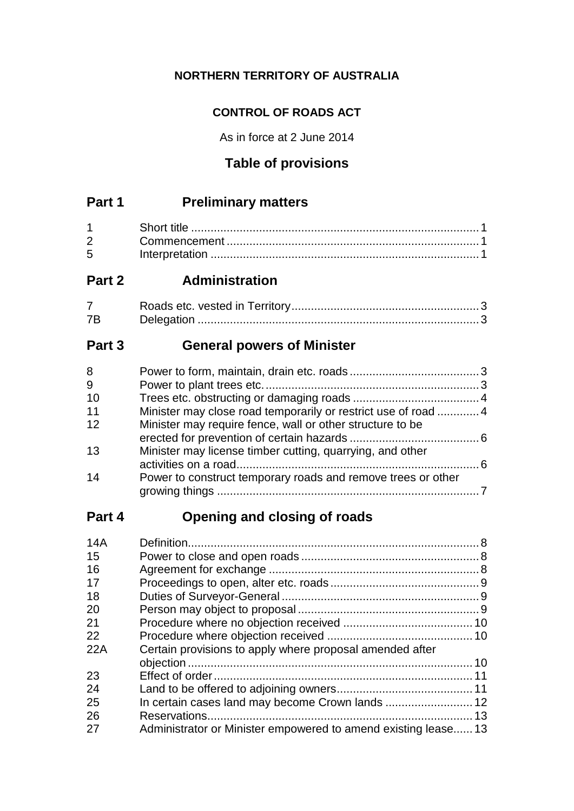# **NORTHERN TERRITORY OF AUSTRALIA**

# **CONTROL OF ROADS ACT**

As in force at 2 June 2014

# **Table of provisions**

# **Part 1 Preliminary matters**

| $2 \left( \frac{1}{2} \right)$ |  |
|--------------------------------|--|
| 5 <sup>5</sup>                 |  |

# **Part 2 Administration**

| 7B |  |
|----|--|

# **Part 3 General powers of Minister**

| 8  |                                                                |  |
|----|----------------------------------------------------------------|--|
| 9  |                                                                |  |
| 10 |                                                                |  |
| 11 | Minister may close road temporarily or restrict use of road  4 |  |
| 12 | Minister may require fence, wall or other structure to be      |  |
| 13 | Minister may license timber cutting, quarrying, and other      |  |
| 14 | Power to construct temporary roads and remove trees or other   |  |

# **Part 4 Opening and closing of roads**

| 14A |                                                                |  |
|-----|----------------------------------------------------------------|--|
| 15  |                                                                |  |
| 16  |                                                                |  |
| 17  |                                                                |  |
| 18  |                                                                |  |
| 20  |                                                                |  |
| 21  |                                                                |  |
| 22  |                                                                |  |
| 22A | Certain provisions to apply where proposal amended after       |  |
|     |                                                                |  |
| 23  |                                                                |  |
| 24  |                                                                |  |
| 25  |                                                                |  |
| 26  |                                                                |  |
| 27  | Administrator or Minister empowered to amend existing lease 13 |  |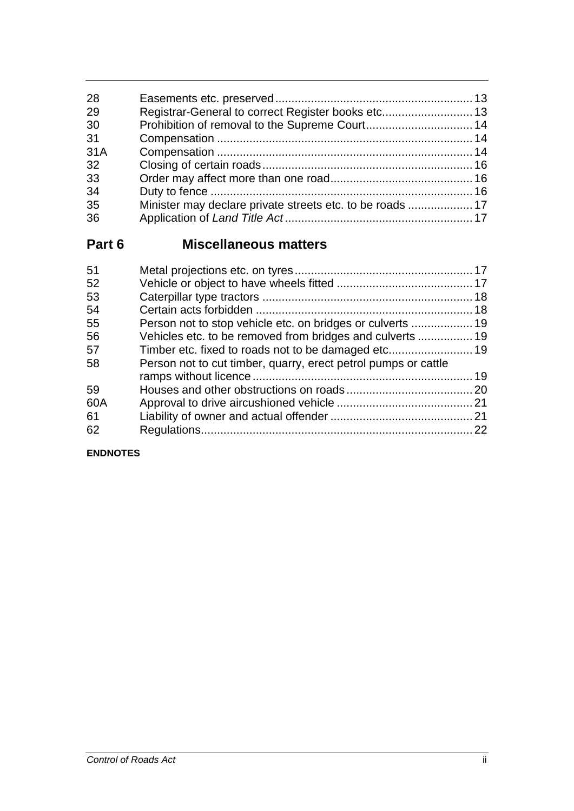| 28  |  |
|-----|--|
| 29  |  |
| 30  |  |
| 31  |  |
| 31A |  |
| 32  |  |
| 33  |  |
| 34  |  |
| 35  |  |
| 36  |  |
|     |  |

# **Part 6 Miscellaneous matters**

| 51  |                                                                |  |
|-----|----------------------------------------------------------------|--|
| 52  |                                                                |  |
| 53  |                                                                |  |
| 54  |                                                                |  |
| 55  |                                                                |  |
| 56  |                                                                |  |
| 57  |                                                                |  |
| 58  | Person not to cut timber, quarry, erect petrol pumps or cattle |  |
|     |                                                                |  |
| 59  |                                                                |  |
| 60A |                                                                |  |
| 61  |                                                                |  |
| 62  |                                                                |  |
|     |                                                                |  |

## **ENDNOTES**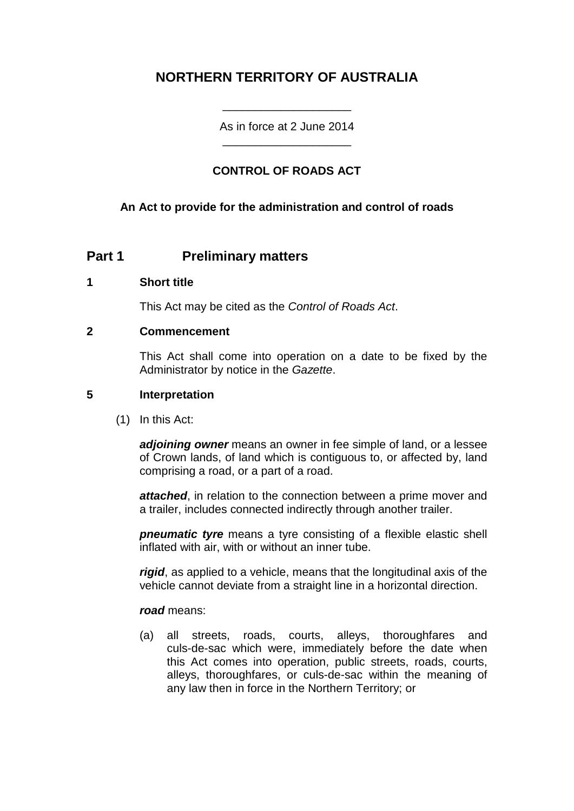# **NORTHERN TERRITORY OF AUSTRALIA**

As in force at 2 June 2014 \_\_\_\_\_\_\_\_\_\_\_\_\_\_\_\_\_\_\_\_

\_\_\_\_\_\_\_\_\_\_\_\_\_\_\_\_\_\_\_\_

# **CONTROL OF ROADS ACT**

## **An Act to provide for the administration and control of roads**

## **Part 1 Preliminary matters**

#### **1 Short title**

This Act may be cited as the *Control of Roads Act*.

#### **2 Commencement**

This Act shall come into operation on a date to be fixed by the Administrator by notice in the *Gazette*.

#### **5 Interpretation**

(1) In this Act:

*adjoining owner* means an owner in fee simple of land, or a lessee of Crown lands, of land which is contiguous to, or affected by, land comprising a road, or a part of a road.

*attached*, in relation to the connection between a prime mover and a trailer, includes connected indirectly through another trailer.

*pneumatic tyre* means a tyre consisting of a flexible elastic shell inflated with air, with or without an inner tube.

*rigid*, as applied to a vehicle, means that the longitudinal axis of the vehicle cannot deviate from a straight line in a horizontal direction.

#### *road* means:

(a) all streets, roads, courts, alleys, thoroughfares and culs-de-sac which were, immediately before the date when this Act comes into operation, public streets, roads, courts, alleys, thoroughfares, or culs-de-sac within the meaning of any law then in force in the Northern Territory; or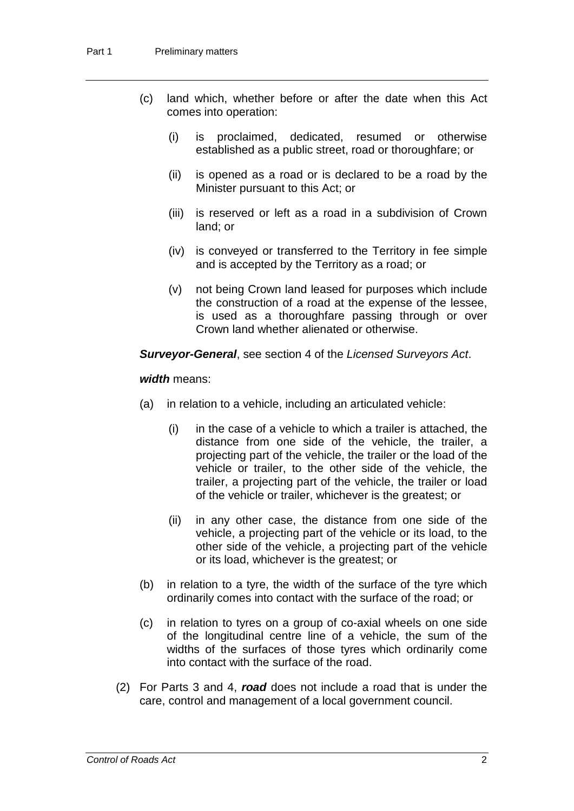- (c) land which, whether before or after the date when this Act comes into operation:
	- (i) is proclaimed, dedicated, resumed or otherwise established as a public street, road or thoroughfare; or
	- (ii) is opened as a road or is declared to be a road by the Minister pursuant to this Act; or
	- (iii) is reserved or left as a road in a subdivision of Crown land; or
	- (iv) is conveyed or transferred to the Territory in fee simple and is accepted by the Territory as a road; or
	- (v) not being Crown land leased for purposes which include the construction of a road at the expense of the lessee, is used as a thoroughfare passing through or over Crown land whether alienated or otherwise.

*Surveyor-General*, see section 4 of the *Licensed Surveyors Act*.

#### *width* means:

- (a) in relation to a vehicle, including an articulated vehicle:
	- (i) in the case of a vehicle to which a trailer is attached, the distance from one side of the vehicle, the trailer, a projecting part of the vehicle, the trailer or the load of the vehicle or trailer, to the other side of the vehicle, the trailer, a projecting part of the vehicle, the trailer or load of the vehicle or trailer, whichever is the greatest; or
	- (ii) in any other case, the distance from one side of the vehicle, a projecting part of the vehicle or its load, to the other side of the vehicle, a projecting part of the vehicle or its load, whichever is the greatest; or
- (b) in relation to a tyre, the width of the surface of the tyre which ordinarily comes into contact with the surface of the road; or
- (c) in relation to tyres on a group of co-axial wheels on one side of the longitudinal centre line of a vehicle, the sum of the widths of the surfaces of those tyres which ordinarily come into contact with the surface of the road.
- (2) For Parts 3 and 4, *road* does not include a road that is under the care, control and management of a local government council.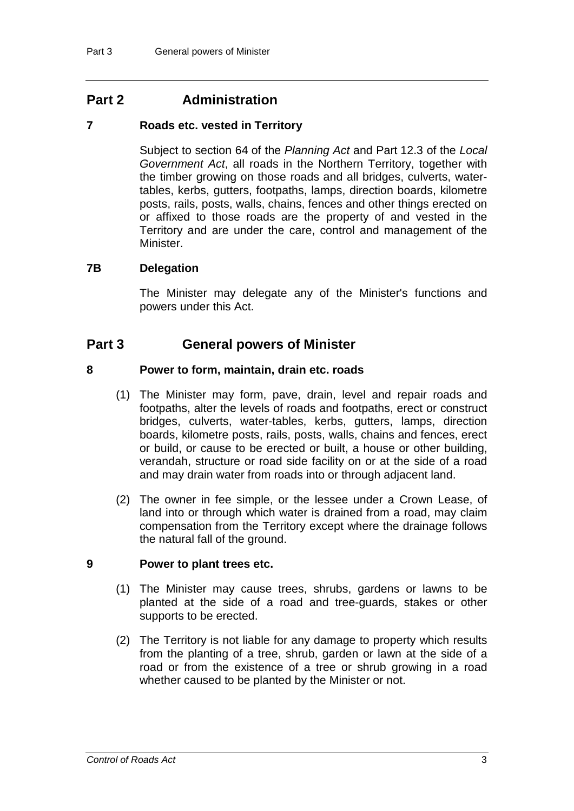# **Part 2 Administration**

#### **7 Roads etc. vested in Territory**

Subject to section 64 of the *Planning Act* and Part 12.3 of the *Local Government Act*, all roads in the Northern Territory, together with the timber growing on those roads and all bridges, culverts, watertables, kerbs, gutters, footpaths, lamps, direction boards, kilometre posts, rails, posts, walls, chains, fences and other things erected on or affixed to those roads are the property of and vested in the Territory and are under the care, control and management of the Minister.

#### **7B Delegation**

The Minister may delegate any of the Minister's functions and powers under this Act.

## **Part 3 General powers of Minister**

#### **8 Power to form, maintain, drain etc. roads**

- (1) The Minister may form, pave, drain, level and repair roads and footpaths, alter the levels of roads and footpaths, erect or construct bridges, culverts, water-tables, kerbs, gutters, lamps, direction boards, kilometre posts, rails, posts, walls, chains and fences, erect or build, or cause to be erected or built, a house or other building, verandah, structure or road side facility on or at the side of a road and may drain water from roads into or through adjacent land.
- (2) The owner in fee simple, or the lessee under a Crown Lease, of land into or through which water is drained from a road, may claim compensation from the Territory except where the drainage follows the natural fall of the ground.

#### **9 Power to plant trees etc.**

- (1) The Minister may cause trees, shrubs, gardens or lawns to be planted at the side of a road and tree-guards, stakes or other supports to be erected.
- (2) The Territory is not liable for any damage to property which results from the planting of a tree, shrub, garden or lawn at the side of a road or from the existence of a tree or shrub growing in a road whether caused to be planted by the Minister or not.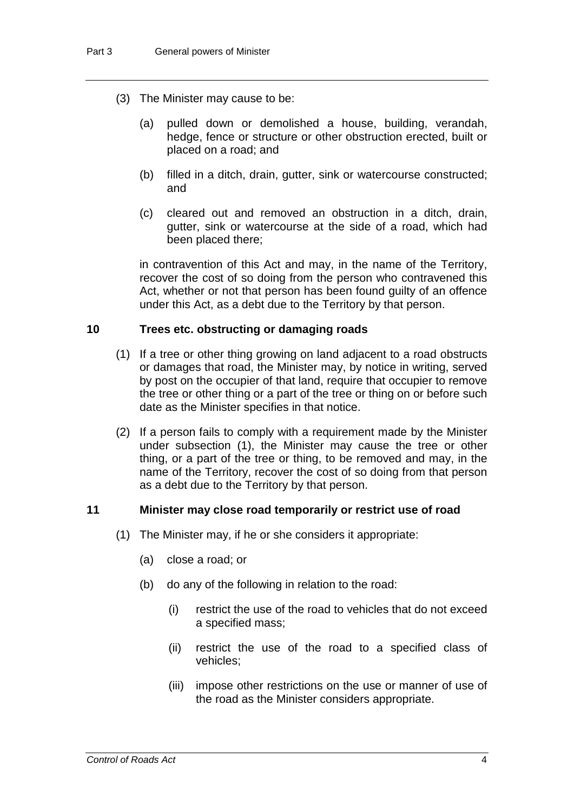- (3) The Minister may cause to be:
	- (a) pulled down or demolished a house, building, verandah, hedge, fence or structure or other obstruction erected, built or placed on a road; and
	- (b) filled in a ditch, drain, gutter, sink or watercourse constructed; and
	- (c) cleared out and removed an obstruction in a ditch, drain, gutter, sink or watercourse at the side of a road, which had been placed there;

in contravention of this Act and may, in the name of the Territory, recover the cost of so doing from the person who contravened this Act, whether or not that person has been found guilty of an offence under this Act, as a debt due to the Territory by that person.

#### **10 Trees etc. obstructing or damaging roads**

- (1) If a tree or other thing growing on land adjacent to a road obstructs or damages that road, the Minister may, by notice in writing, served by post on the occupier of that land, require that occupier to remove the tree or other thing or a part of the tree or thing on or before such date as the Minister specifies in that notice.
- (2) If a person fails to comply with a requirement made by the Minister under subsection (1), the Minister may cause the tree or other thing, or a part of the tree or thing, to be removed and may, in the name of the Territory, recover the cost of so doing from that person as a debt due to the Territory by that person.

#### **11 Minister may close road temporarily or restrict use of road**

- (1) The Minister may, if he or she considers it appropriate:
	- (a) close a road; or
	- (b) do any of the following in relation to the road:
		- (i) restrict the use of the road to vehicles that do not exceed a specified mass;
		- (ii) restrict the use of the road to a specified class of vehicles;
		- (iii) impose other restrictions on the use or manner of use of the road as the Minister considers appropriate.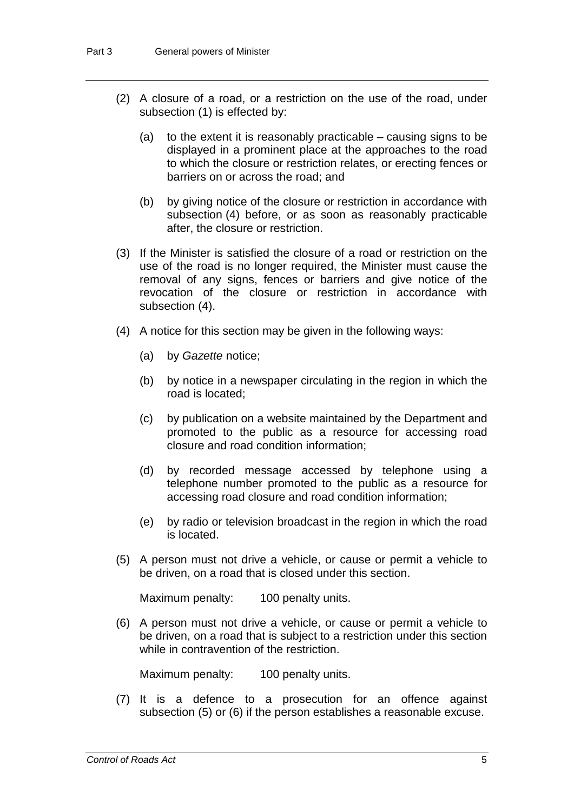- (2) A closure of a road, or a restriction on the use of the road, under subsection (1) is effected by:
	- (a) to the extent it is reasonably practicable causing signs to be displayed in a prominent place at the approaches to the road to which the closure or restriction relates, or erecting fences or barriers on or across the road; and
	- (b) by giving notice of the closure or restriction in accordance with subsection (4) before, or as soon as reasonably practicable after, the closure or restriction.
- (3) If the Minister is satisfied the closure of a road or restriction on the use of the road is no longer required, the Minister must cause the removal of any signs, fences or barriers and give notice of the revocation of the closure or restriction in accordance with subsection (4).
- (4) A notice for this section may be given in the following ways:
	- (a) by *Gazette* notice;
	- (b) by notice in a newspaper circulating in the region in which the road is located;
	- (c) by publication on a website maintained by the Department and promoted to the public as a resource for accessing road closure and road condition information;
	- (d) by recorded message accessed by telephone using a telephone number promoted to the public as a resource for accessing road closure and road condition information;
	- (e) by radio or television broadcast in the region in which the road is located.
- (5) A person must not drive a vehicle, or cause or permit a vehicle to be driven, on a road that is closed under this section.

Maximum penalty: 100 penalty units.

(6) A person must not drive a vehicle, or cause or permit a vehicle to be driven, on a road that is subject to a restriction under this section while in contravention of the restriction.

Maximum penalty: 100 penalty units.

(7) It is a defence to a prosecution for an offence against subsection (5) or (6) if the person establishes a reasonable excuse.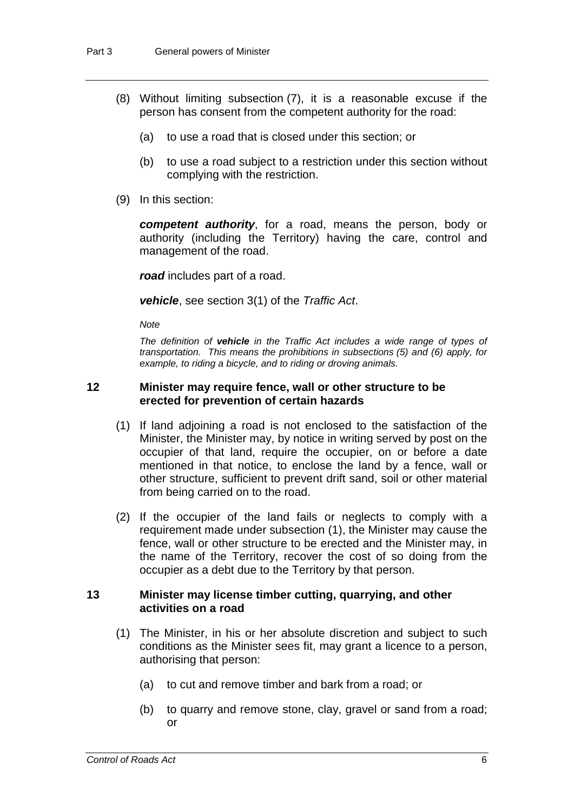- (8) Without limiting subsection (7), it is a reasonable excuse if the person has consent from the competent authority for the road:
	- (a) to use a road that is closed under this section; or
	- (b) to use a road subject to a restriction under this section without complying with the restriction.
- (9) In this section:

*competent authority*, for a road, means the person, body or authority (including the Territory) having the care, control and management of the road.

*road* includes part of a road.

*vehicle*, see section 3(1) of the *Traffic Act*.

*Note*

*The definition of vehicle in the Traffic Act includes a wide range of types of transportation. This means the prohibitions in subsections (5) and (6) apply, for example, to riding a bicycle, and to riding or droving animals.*

#### **12 Minister may require fence, wall or other structure to be erected for prevention of certain hazards**

- (1) If land adjoining a road is not enclosed to the satisfaction of the Minister, the Minister may, by notice in writing served by post on the occupier of that land, require the occupier, on or before a date mentioned in that notice, to enclose the land by a fence, wall or other structure, sufficient to prevent drift sand, soil or other material from being carried on to the road.
- (2) If the occupier of the land fails or neglects to comply with a requirement made under subsection (1), the Minister may cause the fence, wall or other structure to be erected and the Minister may, in the name of the Territory, recover the cost of so doing from the occupier as a debt due to the Territory by that person.

#### **13 Minister may license timber cutting, quarrying, and other activities on a road**

- (1) The Minister, in his or her absolute discretion and subject to such conditions as the Minister sees fit, may grant a licence to a person, authorising that person:
	- (a) to cut and remove timber and bark from a road; or
	- (b) to quarry and remove stone, clay, gravel or sand from a road; or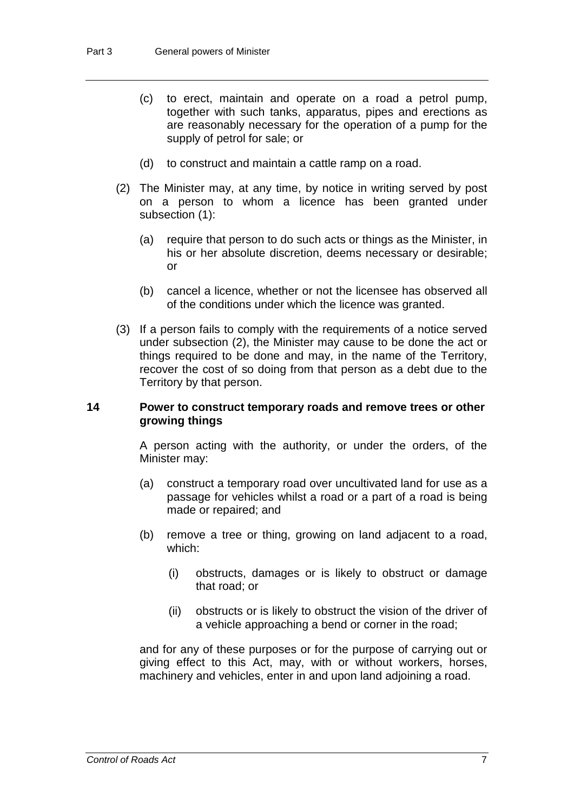- (c) to erect, maintain and operate on a road a petrol pump, together with such tanks, apparatus, pipes and erections as are reasonably necessary for the operation of a pump for the supply of petrol for sale; or
- (d) to construct and maintain a cattle ramp on a road.
- (2) The Minister may, at any time, by notice in writing served by post on a person to whom a licence has been granted under subsection (1):
	- (a) require that person to do such acts or things as the Minister, in his or her absolute discretion, deems necessary or desirable; or
	- (b) cancel a licence, whether or not the licensee has observed all of the conditions under which the licence was granted.
- (3) If a person fails to comply with the requirements of a notice served under subsection (2), the Minister may cause to be done the act or things required to be done and may, in the name of the Territory, recover the cost of so doing from that person as a debt due to the Territory by that person.

#### **14 Power to construct temporary roads and remove trees or other growing things**

A person acting with the authority, or under the orders, of the Minister may:

- (a) construct a temporary road over uncultivated land for use as a passage for vehicles whilst a road or a part of a road is being made or repaired; and
- (b) remove a tree or thing, growing on land adjacent to a road, which:
	- (i) obstructs, damages or is likely to obstruct or damage that road; or
	- (ii) obstructs or is likely to obstruct the vision of the driver of a vehicle approaching a bend or corner in the road;

and for any of these purposes or for the purpose of carrying out or giving effect to this Act, may, with or without workers, horses, machinery and vehicles, enter in and upon land adjoining a road.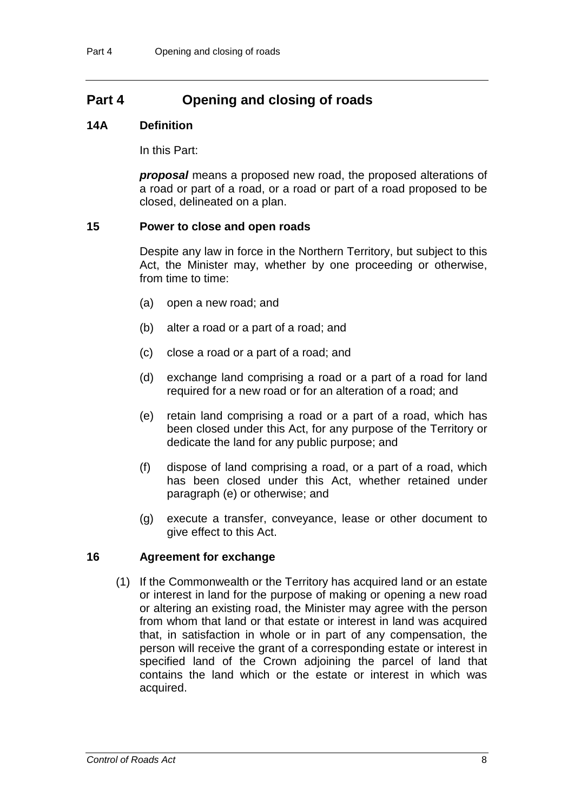# **Part 4 Opening and closing of roads**

#### **14A Definition**

In this Part:

*proposal* means a proposed new road, the proposed alterations of a road or part of a road, or a road or part of a road proposed to be closed, delineated on a plan.

#### **15 Power to close and open roads**

Despite any law in force in the Northern Territory, but subject to this Act, the Minister may, whether by one proceeding or otherwise, from time to time:

- (a) open a new road; and
- (b) alter a road or a part of a road; and
- (c) close a road or a part of a road; and
- (d) exchange land comprising a road or a part of a road for land required for a new road or for an alteration of a road; and
- (e) retain land comprising a road or a part of a road, which has been closed under this Act, for any purpose of the Territory or dedicate the land for any public purpose; and
- (f) dispose of land comprising a road, or a part of a road, which has been closed under this Act, whether retained under paragraph (e) or otherwise; and
- (g) execute a transfer, conveyance, lease or other document to give effect to this Act.

## **16 Agreement for exchange**

(1) If the Commonwealth or the Territory has acquired land or an estate or interest in land for the purpose of making or opening a new road or altering an existing road, the Minister may agree with the person from whom that land or that estate or interest in land was acquired that, in satisfaction in whole or in part of any compensation, the person will receive the grant of a corresponding estate or interest in specified land of the Crown adjoining the parcel of land that contains the land which or the estate or interest in which was acquired.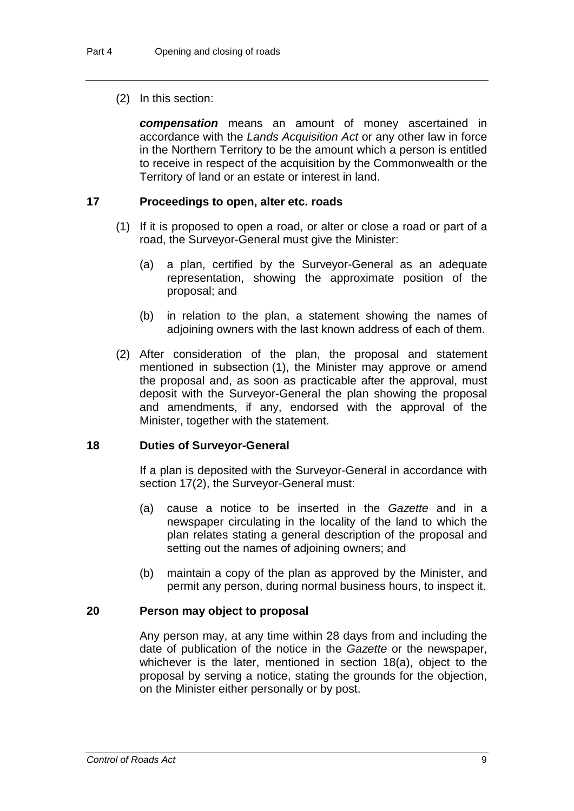#### (2) In this section:

*compensation* means an amount of money ascertained in accordance with the *Lands Acquisition Act* or any other law in force in the Northern Territory to be the amount which a person is entitled to receive in respect of the acquisition by the Commonwealth or the Territory of land or an estate or interest in land.

#### **17 Proceedings to open, alter etc. roads**

- (1) If it is proposed to open a road, or alter or close a road or part of a road, the Surveyor-General must give the Minister:
	- (a) a plan, certified by the Surveyor-General as an adequate representation, showing the approximate position of the proposal; and
	- (b) in relation to the plan, a statement showing the names of adjoining owners with the last known address of each of them.
- (2) After consideration of the plan, the proposal and statement mentioned in subsection (1), the Minister may approve or amend the proposal and, as soon as practicable after the approval, must deposit with the Surveyor-General the plan showing the proposal and amendments, if any, endorsed with the approval of the Minister, together with the statement.

#### **18 Duties of Surveyor-General**

If a plan is deposited with the Surveyor-General in accordance with section 17(2), the Surveyor-General must:

- (a) cause a notice to be inserted in the *Gazette* and in a newspaper circulating in the locality of the land to which the plan relates stating a general description of the proposal and setting out the names of adjoining owners; and
- (b) maintain a copy of the plan as approved by the Minister, and permit any person, during normal business hours, to inspect it.

#### **20 Person may object to proposal**

Any person may, at any time within 28 days from and including the date of publication of the notice in the *Gazette* or the newspaper, whichever is the later, mentioned in section 18(a), object to the proposal by serving a notice, stating the grounds for the objection, on the Minister either personally or by post.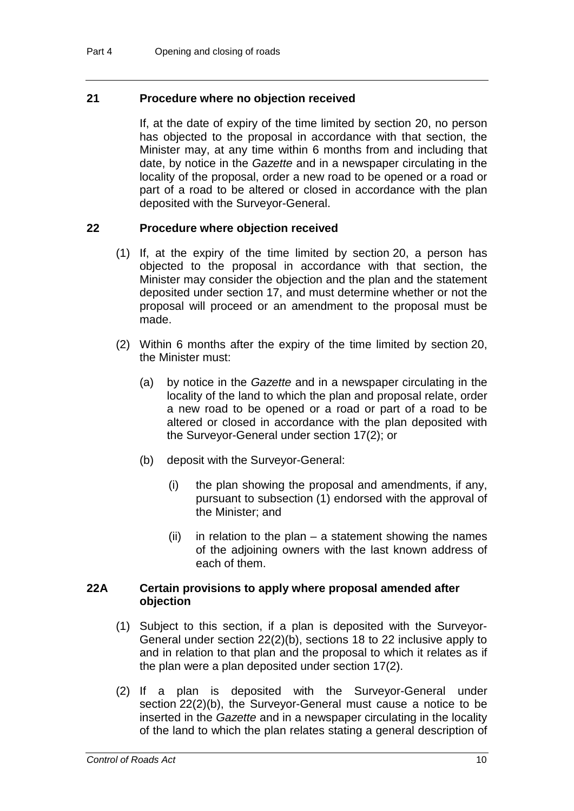#### **21 Procedure where no objection received**

If, at the date of expiry of the time limited by section 20, no person has objected to the proposal in accordance with that section, the Minister may, at any time within 6 months from and including that date, by notice in the *Gazette* and in a newspaper circulating in the locality of the proposal, order a new road to be opened or a road or part of a road to be altered or closed in accordance with the plan deposited with the Surveyor-General.

#### **22 Procedure where objection received**

- (1) If, at the expiry of the time limited by section 20, a person has objected to the proposal in accordance with that section, the Minister may consider the objection and the plan and the statement deposited under section 17, and must determine whether or not the proposal will proceed or an amendment to the proposal must be made.
- (2) Within 6 months after the expiry of the time limited by section 20, the Minister must:
	- (a) by notice in the *Gazette* and in a newspaper circulating in the locality of the land to which the plan and proposal relate, order a new road to be opened or a road or part of a road to be altered or closed in accordance with the plan deposited with the Surveyor-General under section 17(2); or
	- (b) deposit with the Surveyor-General:
		- (i) the plan showing the proposal and amendments, if any, pursuant to subsection (1) endorsed with the approval of the Minister; and
		- $(ii)$  in relation to the plan a statement showing the names of the adjoining owners with the last known address of each of them.

#### **22A Certain provisions to apply where proposal amended after objection**

- (1) Subject to this section, if a plan is deposited with the Surveyor-General under section 22(2)(b), sections 18 to 22 inclusive apply to and in relation to that plan and the proposal to which it relates as if the plan were a plan deposited under section 17(2).
- (2) If a plan is deposited with the Surveyor-General under section 22(2)(b), the Surveyor-General must cause a notice to be inserted in the *Gazette* and in a newspaper circulating in the locality of the land to which the plan relates stating a general description of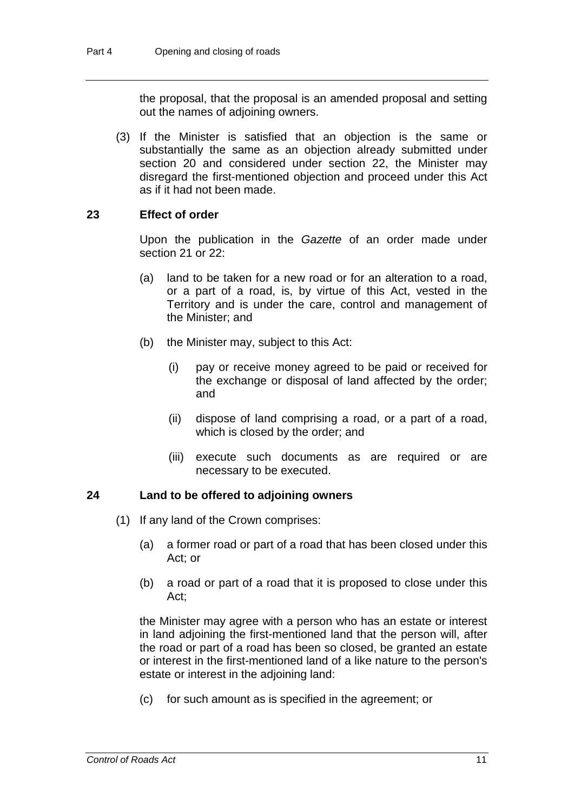the proposal, that the proposal is an amended proposal and setting out the names of adjoining owners.

(3) If the Minister is satisfied that an objection is the same or substantially the same as an objection already submitted under section 20 and considered under section 22, the Minister may disregard the first-mentioned objection and proceed under this Act as if it had not been made.

#### **23 Effect of order**

Upon the publication in the *Gazette* of an order made under section 21 or 22:

- (a) land to be taken for a new road or for an alteration to a road, or a part of a road, is, by virtue of this Act, vested in the Territory and is under the care, control and management of the Minister; and
- (b) the Minister may, subject to this Act:
	- (i) pay or receive money agreed to be paid or received for the exchange or disposal of land affected by the order; and
	- (ii) dispose of land comprising a road, or a part of a road, which is closed by the order; and
	- (iii) execute such documents as are required or are necessary to be executed.

#### **24 Land to be offered to adjoining owners**

- (1) If any land of the Crown comprises:
	- (a) a former road or part of a road that has been closed under this Act; or
	- (b) a road or part of a road that it is proposed to close under this Act;

the Minister may agree with a person who has an estate or interest in land adjoining the first-mentioned land that the person will, after the road or part of a road has been so closed, be granted an estate or interest in the first-mentioned land of a like nature to the person's estate or interest in the adjoining land:

(c) for such amount as is specified in the agreement; or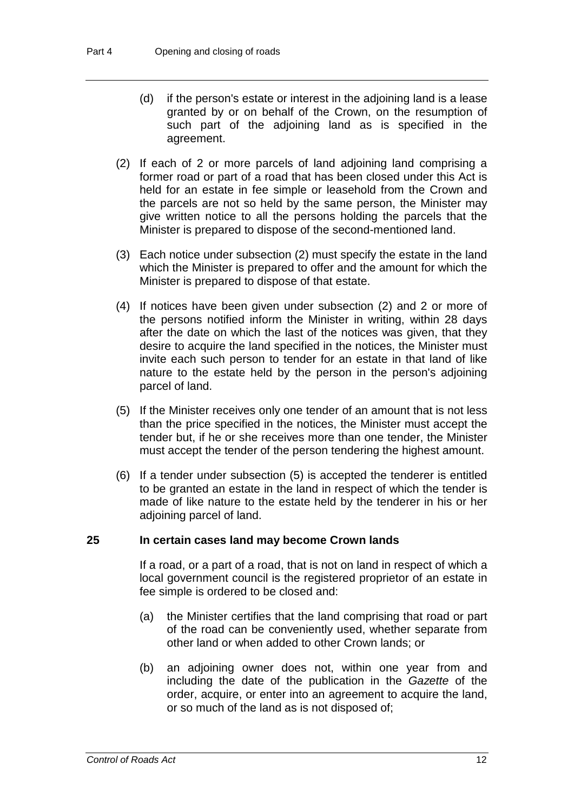- (d) if the person's estate or interest in the adjoining land is a lease granted by or on behalf of the Crown, on the resumption of such part of the adjoining land as is specified in the agreement.
- (2) If each of 2 or more parcels of land adjoining land comprising a former road or part of a road that has been closed under this Act is held for an estate in fee simple or leasehold from the Crown and the parcels are not so held by the same person, the Minister may give written notice to all the persons holding the parcels that the Minister is prepared to dispose of the second-mentioned land.
- (3) Each notice under subsection (2) must specify the estate in the land which the Minister is prepared to offer and the amount for which the Minister is prepared to dispose of that estate.
- (4) If notices have been given under subsection (2) and 2 or more of the persons notified inform the Minister in writing, within 28 days after the date on which the last of the notices was given, that they desire to acquire the land specified in the notices, the Minister must invite each such person to tender for an estate in that land of like nature to the estate held by the person in the person's adjoining parcel of land.
- (5) If the Minister receives only one tender of an amount that is not less than the price specified in the notices, the Minister must accept the tender but, if he or she receives more than one tender, the Minister must accept the tender of the person tendering the highest amount.
- (6) If a tender under subsection (5) is accepted the tenderer is entitled to be granted an estate in the land in respect of which the tender is made of like nature to the estate held by the tenderer in his or her adjoining parcel of land.

#### **25 In certain cases land may become Crown lands**

If a road, or a part of a road, that is not on land in respect of which a local government council is the registered proprietor of an estate in fee simple is ordered to be closed and:

- (a) the Minister certifies that the land comprising that road or part of the road can be conveniently used, whether separate from other land or when added to other Crown lands; or
- (b) an adjoining owner does not, within one year from and including the date of the publication in the *Gazette* of the order, acquire, or enter into an agreement to acquire the land, or so much of the land as is not disposed of;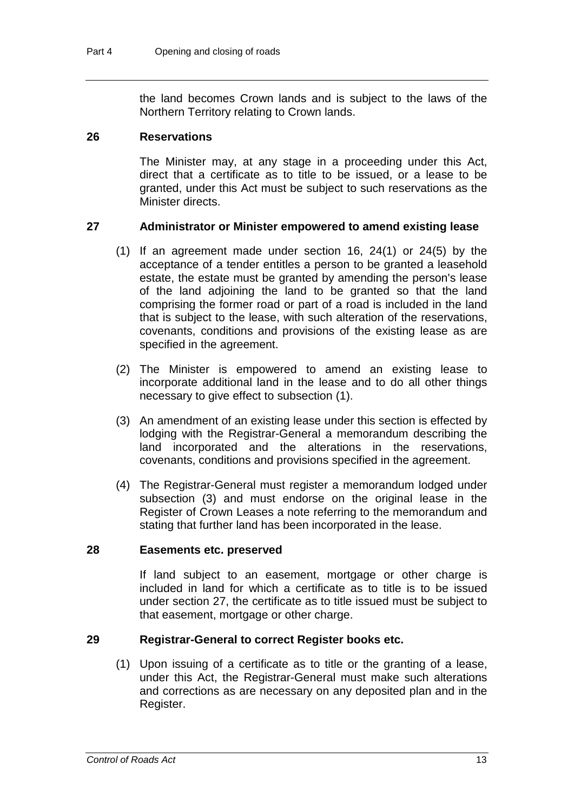the land becomes Crown lands and is subject to the laws of the Northern Territory relating to Crown lands.

#### **26 Reservations**

The Minister may, at any stage in a proceeding under this Act, direct that a certificate as to title to be issued, or a lease to be granted, under this Act must be subject to such reservations as the Minister directs.

#### **27 Administrator or Minister empowered to amend existing lease**

- (1) If an agreement made under section 16, 24(1) or 24(5) by the acceptance of a tender entitles a person to be granted a leasehold estate, the estate must be granted by amending the person's lease of the land adjoining the land to be granted so that the land comprising the former road or part of a road is included in the land that is subject to the lease, with such alteration of the reservations, covenants, conditions and provisions of the existing lease as are specified in the agreement.
- (2) The Minister is empowered to amend an existing lease to incorporate additional land in the lease and to do all other things necessary to give effect to subsection (1).
- (3) An amendment of an existing lease under this section is effected by lodging with the Registrar-General a memorandum describing the land incorporated and the alterations in the reservations, covenants, conditions and provisions specified in the agreement.
- (4) The Registrar-General must register a memorandum lodged under subsection (3) and must endorse on the original lease in the Register of Crown Leases a note referring to the memorandum and stating that further land has been incorporated in the lease.

#### **28 Easements etc. preserved**

If land subject to an easement, mortgage or other charge is included in land for which a certificate as to title is to be issued under section 27, the certificate as to title issued must be subject to that easement, mortgage or other charge.

#### **29 Registrar-General to correct Register books etc.**

(1) Upon issuing of a certificate as to title or the granting of a lease, under this Act, the Registrar-General must make such alterations and corrections as are necessary on any deposited plan and in the Register.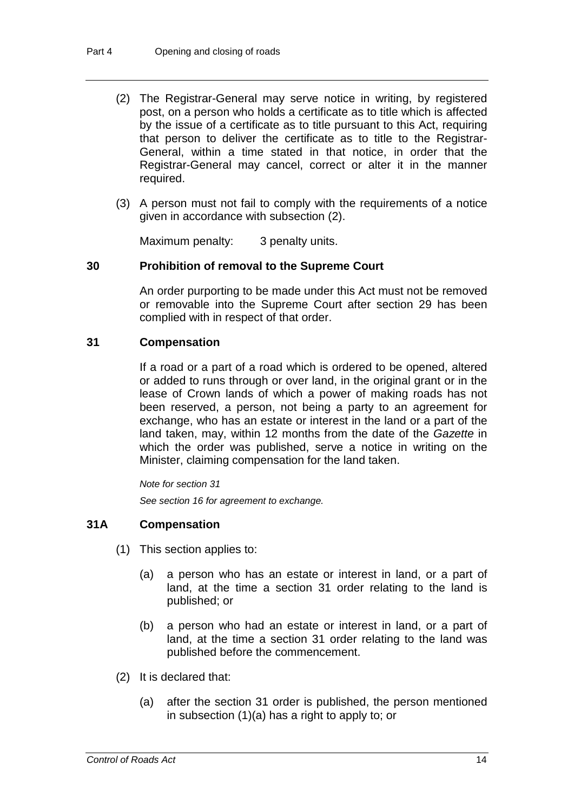- (2) The Registrar-General may serve notice in writing, by registered post, on a person who holds a certificate as to title which is affected by the issue of a certificate as to title pursuant to this Act, requiring that person to deliver the certificate as to title to the Registrar-General, within a time stated in that notice, in order that the Registrar-General may cancel, correct or alter it in the manner required.
- (3) A person must not fail to comply with the requirements of a notice given in accordance with subsection (2).

Maximum penalty: 3 penalty units.

#### **30 Prohibition of removal to the Supreme Court**

An order purporting to be made under this Act must not be removed or removable into the Supreme Court after section 29 has been complied with in respect of that order.

#### **31 Compensation**

If a road or a part of a road which is ordered to be opened, altered or added to runs through or over land, in the original grant or in the lease of Crown lands of which a power of making roads has not been reserved, a person, not being a party to an agreement for exchange, who has an estate or interest in the land or a part of the land taken, may, within 12 months from the date of the *Gazette* in which the order was published, serve a notice in writing on the Minister, claiming compensation for the land taken.

*Note for section 31*

*See section 16 for agreement to exchange.*

#### **31A Compensation**

- (1) This section applies to:
	- (a) a person who has an estate or interest in land, or a part of land, at the time a section 31 order relating to the land is published; or
	- (b) a person who had an estate or interest in land, or a part of land, at the time a section 31 order relating to the land was published before the commencement.
- (2) It is declared that:
	- (a) after the section 31 order is published, the person mentioned in subsection (1)(a) has a right to apply to; or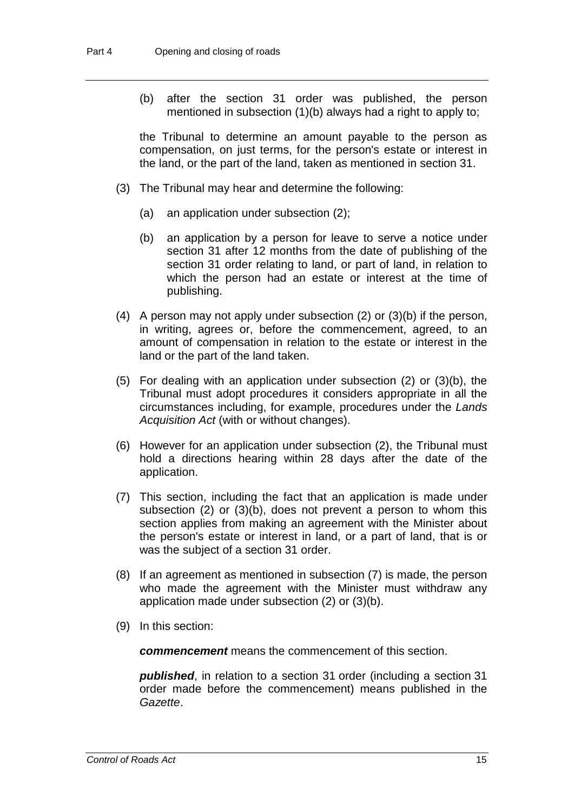(b) after the section 31 order was published, the person mentioned in subsection (1)(b) always had a right to apply to;

the Tribunal to determine an amount payable to the person as compensation, on just terms, for the person's estate or interest in the land, or the part of the land, taken as mentioned in section 31.

- (3) The Tribunal may hear and determine the following:
	- (a) an application under subsection (2);
	- (b) an application by a person for leave to serve a notice under section 31 after 12 months from the date of publishing of the section 31 order relating to land, or part of land, in relation to which the person had an estate or interest at the time of publishing.
- (4) A person may not apply under subsection (2) or (3)(b) if the person, in writing, agrees or, before the commencement, agreed, to an amount of compensation in relation to the estate or interest in the land or the part of the land taken.
- (5) For dealing with an application under subsection (2) or (3)(b), the Tribunal must adopt procedures it considers appropriate in all the circumstances including, for example, procedures under the *Lands Acquisition Act* (with or without changes).
- (6) However for an application under subsection (2), the Tribunal must hold a directions hearing within 28 days after the date of the application.
- (7) This section, including the fact that an application is made under subsection (2) or (3)(b), does not prevent a person to whom this section applies from making an agreement with the Minister about the person's estate or interest in land, or a part of land, that is or was the subject of a section 31 order.
- (8) If an agreement as mentioned in subsection (7) is made, the person who made the agreement with the Minister must withdraw any application made under subsection (2) or (3)(b).
- (9) In this section:

*commencement* means the commencement of this section.

*published*, in relation to a section 31 order (including a section 31 order made before the commencement) means published in the *Gazette*.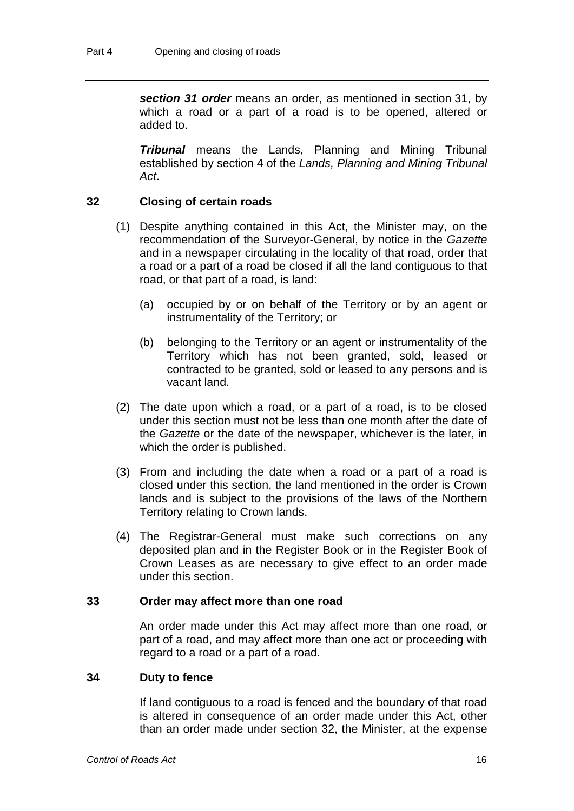*section 31 order* means an order, as mentioned in section 31, by which a road or a part of a road is to be opened, altered or added to.

*Tribunal* means the Lands, Planning and Mining Tribunal established by section 4 of the *Lands, Planning and Mining Tribunal Act*.

#### **32 Closing of certain roads**

- (1) Despite anything contained in this Act, the Minister may, on the recommendation of the Surveyor-General, by notice in the *Gazette* and in a newspaper circulating in the locality of that road, order that a road or a part of a road be closed if all the land contiguous to that road, or that part of a road, is land:
	- (a) occupied by or on behalf of the Territory or by an agent or instrumentality of the Territory; or
	- (b) belonging to the Territory or an agent or instrumentality of the Territory which has not been granted, sold, leased or contracted to be granted, sold or leased to any persons and is vacant land.
- (2) The date upon which a road, or a part of a road, is to be closed under this section must not be less than one month after the date of the *Gazette* or the date of the newspaper, whichever is the later, in which the order is published.
- (3) From and including the date when a road or a part of a road is closed under this section, the land mentioned in the order is Crown lands and is subject to the provisions of the laws of the Northern Territory relating to Crown lands.
- (4) The Registrar-General must make such corrections on any deposited plan and in the Register Book or in the Register Book of Crown Leases as are necessary to give effect to an order made under this section.

#### **33 Order may affect more than one road**

An order made under this Act may affect more than one road, or part of a road, and may affect more than one act or proceeding with regard to a road or a part of a road.

#### **34 Duty to fence**

If land contiguous to a road is fenced and the boundary of that road is altered in consequence of an order made under this Act, other than an order made under section 32, the Minister, at the expense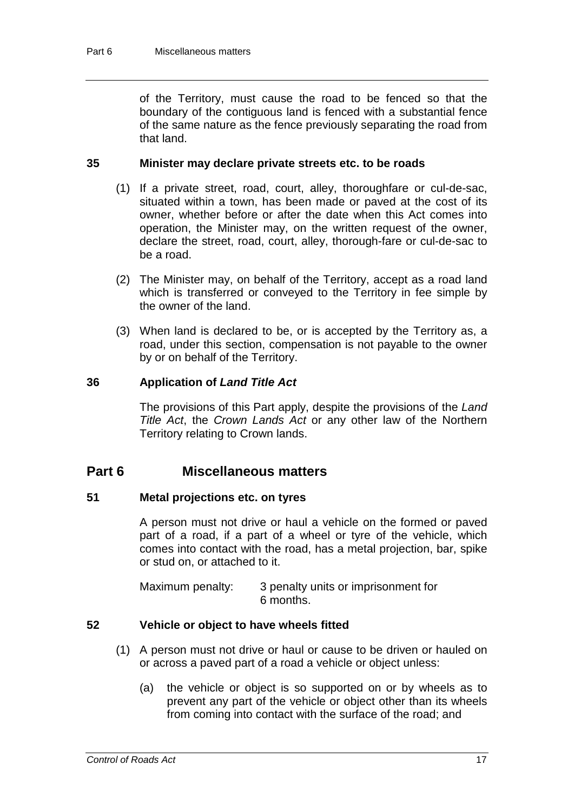of the Territory, must cause the road to be fenced so that the boundary of the contiguous land is fenced with a substantial fence of the same nature as the fence previously separating the road from that land.

#### **35 Minister may declare private streets etc. to be roads**

- (1) If a private street, road, court, alley, thoroughfare or cul-de-sac, situated within a town, has been made or paved at the cost of its owner, whether before or after the date when this Act comes into operation, the Minister may, on the written request of the owner, declare the street, road, court, alley, thorough-fare or cul-de-sac to be a road.
- (2) The Minister may, on behalf of the Territory, accept as a road land which is transferred or conveyed to the Territory in fee simple by the owner of the land.
- (3) When land is declared to be, or is accepted by the Territory as, a road, under this section, compensation is not payable to the owner by or on behalf of the Territory.

#### **36 Application of** *Land Title Act*

The provisions of this Part apply, despite the provisions of the *Land Title Act*, the *Crown Lands Act* or any other law of the Northern Territory relating to Crown lands.

## **Part 6 Miscellaneous matters**

#### **51 Metal projections etc. on tyres**

A person must not drive or haul a vehicle on the formed or paved part of a road, if a part of a wheel or tyre of the vehicle, which comes into contact with the road, has a metal projection, bar, spike or stud on, or attached to it.

Maximum penalty: 3 penalty units or imprisonment for 6 months.

#### **52 Vehicle or object to have wheels fitted**

- (1) A person must not drive or haul or cause to be driven or hauled on or across a paved part of a road a vehicle or object unless:
	- (a) the vehicle or object is so supported on or by wheels as to prevent any part of the vehicle or object other than its wheels from coming into contact with the surface of the road; and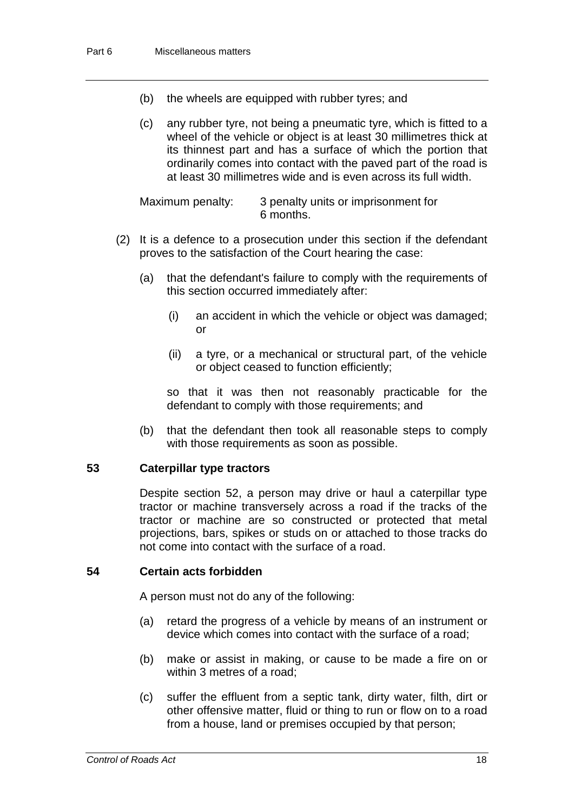- (b) the wheels are equipped with rubber tyres; and
- (c) any rubber tyre, not being a pneumatic tyre, which is fitted to a wheel of the vehicle or object is at least 30 millimetres thick at its thinnest part and has a surface of which the portion that ordinarily comes into contact with the paved part of the road is at least 30 millimetres wide and is even across its full width.

Maximum penalty: 3 penalty units or imprisonment for 6 months.

- (2) It is a defence to a prosecution under this section if the defendant proves to the satisfaction of the Court hearing the case:
	- (a) that the defendant's failure to comply with the requirements of this section occurred immediately after:
		- (i) an accident in which the vehicle or object was damaged; or
		- (ii) a tyre, or a mechanical or structural part, of the vehicle or object ceased to function efficiently;

so that it was then not reasonably practicable for the defendant to comply with those requirements; and

(b) that the defendant then took all reasonable steps to comply with those requirements as soon as possible.

#### **53 Caterpillar type tractors**

Despite section 52, a person may drive or haul a caterpillar type tractor or machine transversely across a road if the tracks of the tractor or machine are so constructed or protected that metal projections, bars, spikes or studs on or attached to those tracks do not come into contact with the surface of a road.

#### **54 Certain acts forbidden**

A person must not do any of the following:

- (a) retard the progress of a vehicle by means of an instrument or device which comes into contact with the surface of a road;
- (b) make or assist in making, or cause to be made a fire on or within 3 metres of a road;
- (c) suffer the effluent from a septic tank, dirty water, filth, dirt or other offensive matter, fluid or thing to run or flow on to a road from a house, land or premises occupied by that person;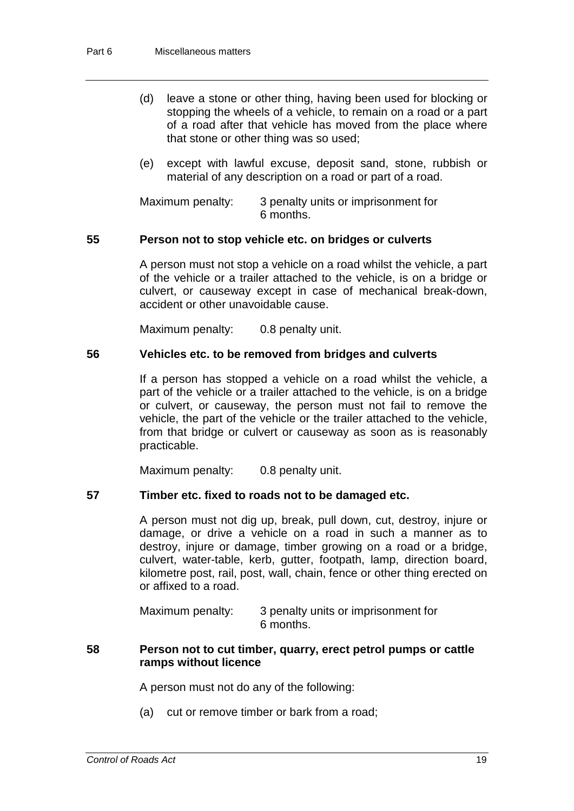- (d) leave a stone or other thing, having been used for blocking or stopping the wheels of a vehicle, to remain on a road or a part of a road after that vehicle has moved from the place where that stone or other thing was so used;
- (e) except with lawful excuse, deposit sand, stone, rubbish or material of any description on a road or part of a road.

Maximum penalty: 3 penalty units or imprisonment for 6 months.

#### **55 Person not to stop vehicle etc. on bridges or culverts**

A person must not stop a vehicle on a road whilst the vehicle, a part of the vehicle or a trailer attached to the vehicle, is on a bridge or culvert, or causeway except in case of mechanical break-down, accident or other unavoidable cause.

Maximum penalty: 0.8 penalty unit.

#### **56 Vehicles etc. to be removed from bridges and culverts**

If a person has stopped a vehicle on a road whilst the vehicle, a part of the vehicle or a trailer attached to the vehicle, is on a bridge or culvert, or causeway, the person must not fail to remove the vehicle, the part of the vehicle or the trailer attached to the vehicle, from that bridge or culvert or causeway as soon as is reasonably practicable.

Maximum penalty: 0.8 penalty unit.

#### **57 Timber etc. fixed to roads not to be damaged etc.**

A person must not dig up, break, pull down, cut, destroy, injure or damage, or drive a vehicle on a road in such a manner as to destroy, injure or damage, timber growing on a road or a bridge, culvert, water-table, kerb, gutter, footpath, lamp, direction board, kilometre post, rail, post, wall, chain, fence or other thing erected on or affixed to a road.

Maximum penalty: 3 penalty units or imprisonment for 6 months.

#### **58 Person not to cut timber, quarry, erect petrol pumps or cattle ramps without licence**

A person must not do any of the following:

(a) cut or remove timber or bark from a road;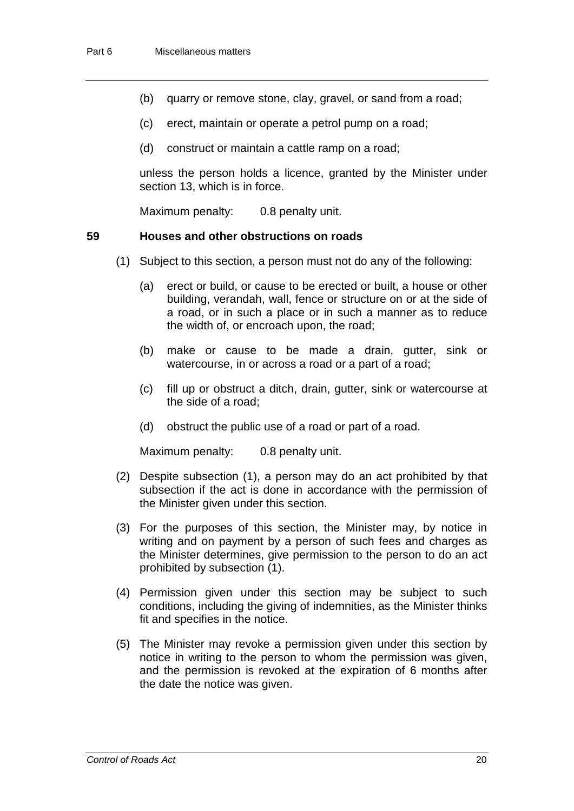- (b) quarry or remove stone, clay, gravel, or sand from a road;
- (c) erect, maintain or operate a petrol pump on a road;
- (d) construct or maintain a cattle ramp on a road;

unless the person holds a licence, granted by the Minister under section 13, which is in force.

Maximum penalty: 0.8 penalty unit.

#### **59 Houses and other obstructions on roads**

- (1) Subject to this section, a person must not do any of the following:
	- (a) erect or build, or cause to be erected or built, a house or other building, verandah, wall, fence or structure on or at the side of a road, or in such a place or in such a manner as to reduce the width of, or encroach upon, the road;
	- (b) make or cause to be made a drain, gutter, sink or watercourse, in or across a road or a part of a road;
	- (c) fill up or obstruct a ditch, drain, gutter, sink or watercourse at the side of a road;
	- (d) obstruct the public use of a road or part of a road.

Maximum penalty: 0.8 penalty unit.

- (2) Despite subsection (1), a person may do an act prohibited by that subsection if the act is done in accordance with the permission of the Minister given under this section.
- (3) For the purposes of this section, the Minister may, by notice in writing and on payment by a person of such fees and charges as the Minister determines, give permission to the person to do an act prohibited by subsection (1).
- (4) Permission given under this section may be subject to such conditions, including the giving of indemnities, as the Minister thinks fit and specifies in the notice.
- (5) The Minister may revoke a permission given under this section by notice in writing to the person to whom the permission was given, and the permission is revoked at the expiration of 6 months after the date the notice was given.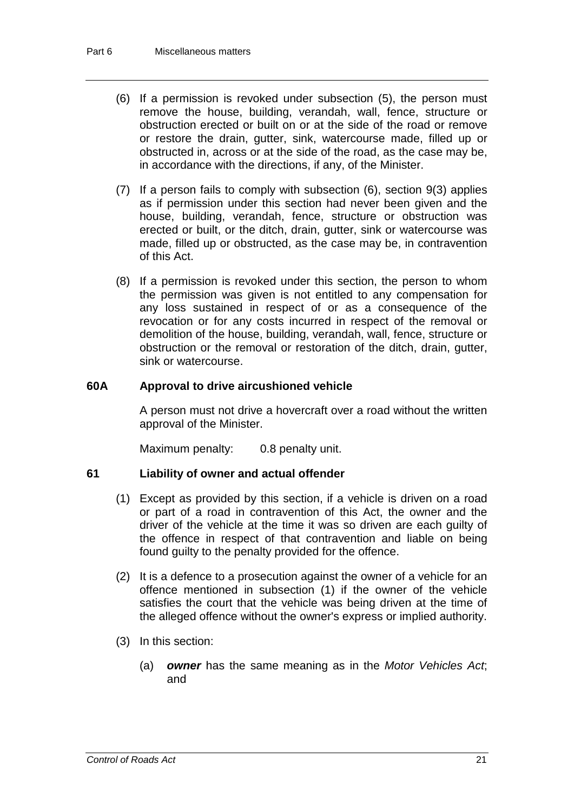- (6) If a permission is revoked under subsection (5), the person must remove the house, building, verandah, wall, fence, structure or obstruction erected or built on or at the side of the road or remove or restore the drain, gutter, sink, watercourse made, filled up or obstructed in, across or at the side of the road, as the case may be, in accordance with the directions, if any, of the Minister.
- (7) If a person fails to comply with subsection (6), section 9(3) applies as if permission under this section had never been given and the house, building, verandah, fence, structure or obstruction was erected or built, or the ditch, drain, gutter, sink or watercourse was made, filled up or obstructed, as the case may be, in contravention of this Act.
- (8) If a permission is revoked under this section, the person to whom the permission was given is not entitled to any compensation for any loss sustained in respect of or as a consequence of the revocation or for any costs incurred in respect of the removal or demolition of the house, building, verandah, wall, fence, structure or obstruction or the removal or restoration of the ditch, drain, gutter, sink or watercourse.

#### **60A Approval to drive aircushioned vehicle**

A person must not drive a hovercraft over a road without the written approval of the Minister.

Maximum penalty: 0.8 penalty unit.

#### **61 Liability of owner and actual offender**

- (1) Except as provided by this section, if a vehicle is driven on a road or part of a road in contravention of this Act, the owner and the driver of the vehicle at the time it was so driven are each guilty of the offence in respect of that contravention and liable on being found guilty to the penalty provided for the offence.
- (2) It is a defence to a prosecution against the owner of a vehicle for an offence mentioned in subsection (1) if the owner of the vehicle satisfies the court that the vehicle was being driven at the time of the alleged offence without the owner's express or implied authority.
- (3) In this section:
	- (a) *owner* has the same meaning as in the *Motor Vehicles Act*; and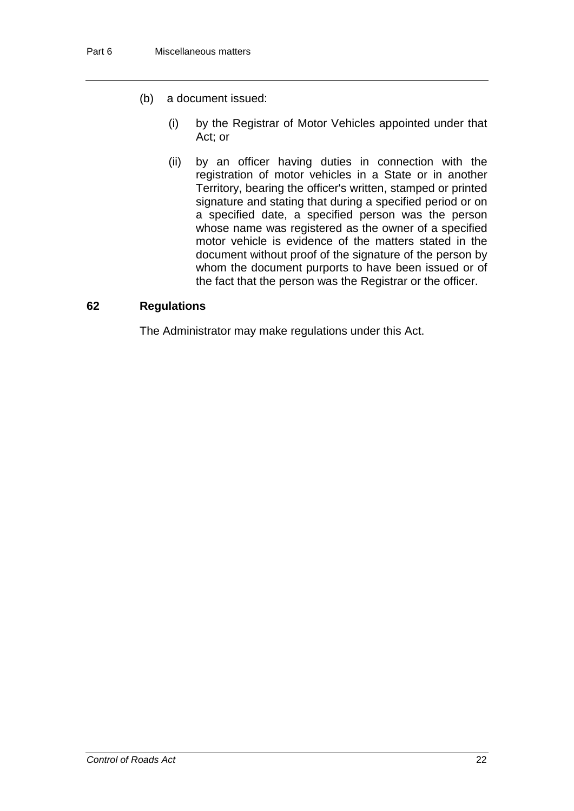- (b) a document issued:
	- (i) by the Registrar of Motor Vehicles appointed under that Act; or
	- (ii) by an officer having duties in connection with the registration of motor vehicles in a State or in another Territory, bearing the officer's written, stamped or printed signature and stating that during a specified period or on a specified date, a specified person was the person whose name was registered as the owner of a specified motor vehicle is evidence of the matters stated in the document without proof of the signature of the person by whom the document purports to have been issued or of the fact that the person was the Registrar or the officer.

#### **62 Regulations**

The Administrator may make regulations under this Act.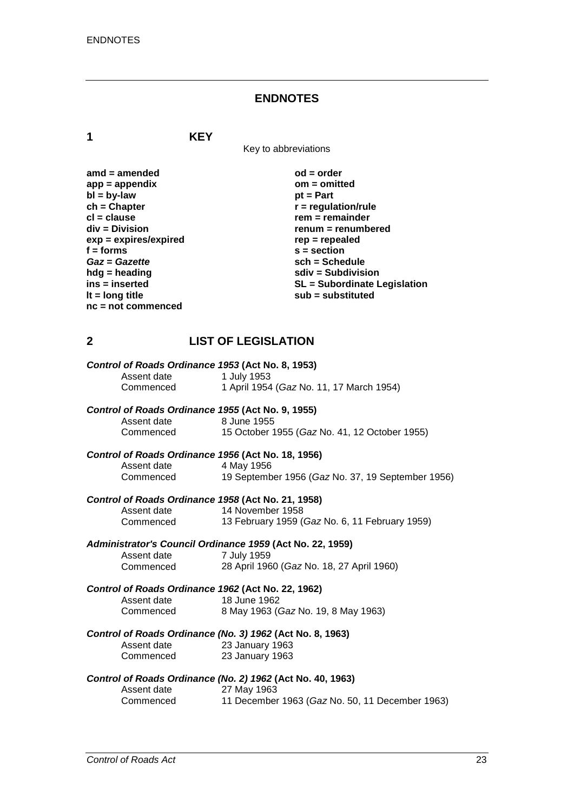#### **ENDNOTES**

**1 KEY**

Key to abbreviations

| amd = amended         | $od = order$            |
|-----------------------|-------------------------|
| app = appendix        | $om = omitted$          |
| bl = by-law           | $pt = Part$             |
| ch = Chapter          | $r =$ regulation/rule   |
| cl = clause           | $rem = remainder$       |
| div = Division        | $remum = remumbe$       |
| exp = expires/expired | $rep = repeated$        |
| f = forms             | $s = section$           |
| Gaz = Gazette         | sch = Schedule          |
| hdg = heading         | $sdiv = Subdivisio$     |
| ins = inserted        | <b>SL</b> = Subordinate |
| It = long title       | $sub =$ substituted     |
| nc = not commenced    |                         |
|                       |                         |

**amd = amended od = order app = appendix om = omitted pt = Part ch = Chapter r = regulation/rule cl = clause rem = remainder div = Division renum = renumbered exp = expires/expired rep = repealed f = forms s = section** *Gaz* **=** *Gazette* **sch = Schedule hdg = heading sdiv = Subdivision ins = inserted SL = Subordinate Legislation**

### **2 LIST OF LEGISLATION**

|             | Control of Roads Ordinance 1953 (Act No. 8, 1953)          |
|-------------|------------------------------------------------------------|
| Assent date | 1 July 1953                                                |
| Commenced   | 1 April 1954 (Gaz No. 11, 17 March 1954)                   |
|             | Control of Roads Ordinance 1955 (Act No. 9, 1955)          |
| Assent date | 8 June 1955                                                |
| Commenced   | 15 October 1955 (Gaz No. 41, 12 October 1955)              |
|             | Control of Roads Ordinance 1956 (Act No. 18, 1956)         |
| Assent date | 4 May 1956                                                 |
| Commenced   | 19 September 1956 (Gaz No. 37, 19 September 1956)          |
|             | Control of Roads Ordinance 1958 (Act No. 21, 1958)         |
| Assent date | 14 November 1958                                           |
| Commenced   | 13 February 1959 (Gaz No. 6, 11 February 1959)             |
|             | Administrator's Council Ordinance 1959 (Act No. 22, 1959)  |
| Assent date | 7 July 1959                                                |
| Commenced   | 28 April 1960 (Gaz No. 18, 27 April 1960)                  |
|             | Control of Roads Ordinance 1962 (Act No. 22, 1962)         |
| Assent date | 18 June 1962                                               |
| Commenced   | 8 May 1963 (Gaz No. 19, 8 May 1963)                        |
|             | Control of Roads Ordinance (No. 3) 1962 (Act No. 8, 1963)  |
| Assent date | 23 January 1963                                            |
| Commenced   | 23 January 1963                                            |
|             | Control of Roads Ordinance (No. 2) 1962 (Act No. 40, 1963) |
|             |                                                            |

| Assent date | 27 May 1963                                     |
|-------------|-------------------------------------------------|
| Commenced   | 11 December 1963 (Gaz No. 50, 11 December 1963) |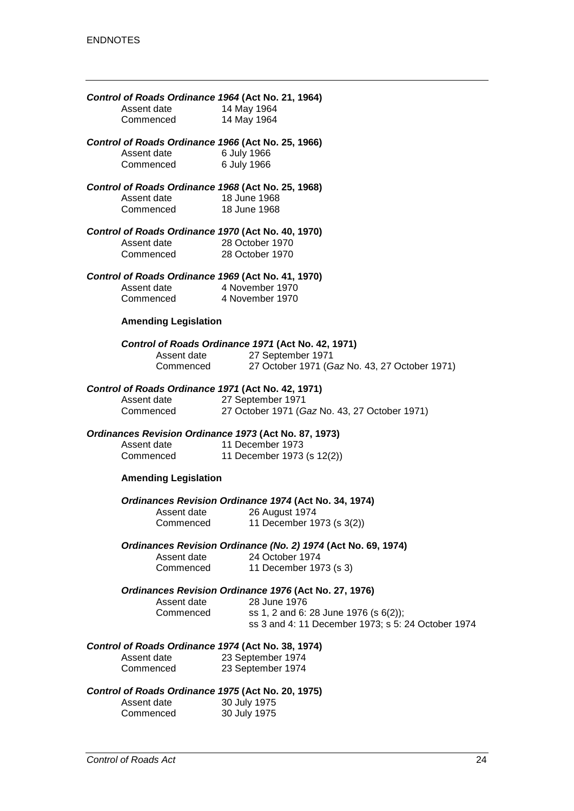| Control of Roads Ordinance 1964 (Act No. 21, 1964)<br>Assent date<br>Commenced                                 | 14 May 1964<br>14 May 1964                                                                                               |
|----------------------------------------------------------------------------------------------------------------|--------------------------------------------------------------------------------------------------------------------------|
| Control of Roads Ordinance 1966 (Act No. 25, 1966)<br>Assent date 6 July 1966<br>Commenced                     | 6 July 1966                                                                                                              |
| Control of Roads Ordinance 1968 (Act No. 25, 1968)<br>Assent date<br>Commenced                                 | 18 June 1968<br>18 June 1968                                                                                             |
| Control of Roads Ordinance 1970 (Act No. 40, 1970)<br>Assent date<br>Commenced                                 | 28 October 1970<br>28 October 1970                                                                                       |
| Control of Roads Ordinance 1969 (Act No. 41, 1970)<br>Assent date 4 November 1970<br>Commenced 4 November 1970 |                                                                                                                          |
| <b>Amending Legislation</b>                                                                                    |                                                                                                                          |
| Assent date<br>Commenced                                                                                       | Control of Roads Ordinance 1971 (Act No. 42, 1971)<br>27 September 1971<br>27 October 1971 (Gaz No. 43, 27 October 1971) |
| Control of Roads Ordinance 1971 (Act No. 42, 1971)<br>Assent date<br>Commenced                                 | 27 September 1971<br>27 October 1971 (Gaz No. 43, 27 October 1971)                                                       |
| Ordinances Revision Ordinance 1973 (Act No. 87, 1973)                                                          |                                                                                                                          |
| Assent date<br>Commenced                                                                                       | 11 December 1973<br>11 December 1973 (s 12(2))                                                                           |
| <b>Amending Legislation</b>                                                                                    |                                                                                                                          |
| Assent date<br>Commenced                                                                                       | Ordinances Revision Ordinance 1974 (Act No. 34, 1974)<br>26 August 1974<br>11 December 1973 (s 3(2))                     |
| Assent date<br>Commenced                                                                                       | Ordinances Revision Ordinance (No. 2) 1974 (Act No. 69, 1974)<br>24 October 1974<br>11 December 1973 (s 3)               |
|                                                                                                                | Ordinances Revision Ordinance 1976 (Act No. 27, 1976)                                                                    |
| Assent date<br>Commenced                                                                                       | 28 June 1976<br>ss 1, 2 and 6: 28 June 1976 (s 6(2));<br>ss 3 and 4: 11 December 1973; s 5: 24 October 1974              |
| Control of Roads Ordinance 1974 (Act No. 38, 1974)<br>Assent date<br>Commenced                                 | 23 September 1974<br>23 September 1974                                                                                   |
| Control of Roads Ordinance 1975 (Act No. 20, 1975)<br>Assent date<br>Commenced                                 | 30 July 1975<br>30 July 1975                                                                                             |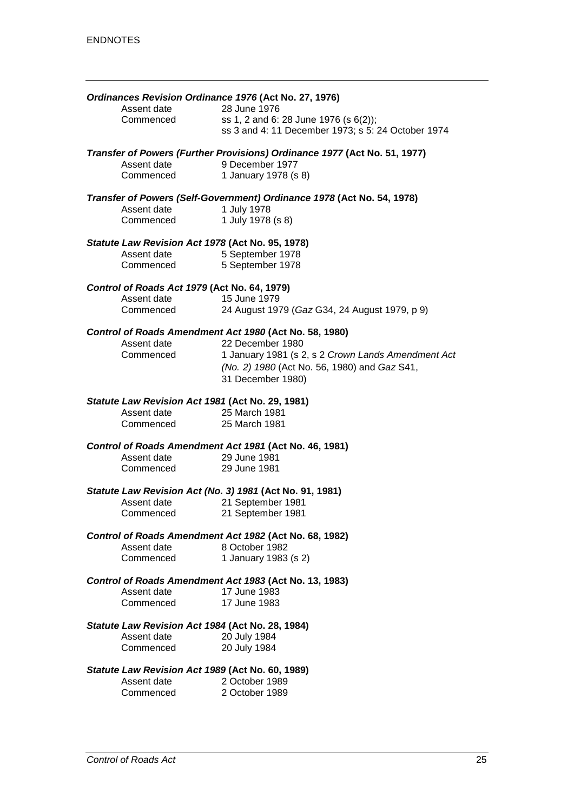| Ordinances Revision Ordinance 1976 (Act No. 27, 1976)    |                                                                                             |
|----------------------------------------------------------|---------------------------------------------------------------------------------------------|
| Assent date                                              | 28 June 1976                                                                                |
| Commenced                                                | ss 1, 2 and 6: 28 June 1976 (s 6(2));<br>ss 3 and 4: 11 December 1973; s 5: 24 October 1974 |
|                                                          | Transfer of Powers (Further Provisions) Ordinance 1977 (Act No. 51, 1977)                   |
| Assent date                                              | 9 December 1977                                                                             |
| Commenced                                                | 1 January 1978 (s 8)                                                                        |
|                                                          | Transfer of Powers (Self-Government) Ordinance 1978 (Act No. 54, 1978)                      |
| Assent date                                              | 1 July 1978                                                                                 |
| Commenced                                                | 1 July 1978 (s 8)                                                                           |
| Statute Law Revision Act 1978 (Act No. 95, 1978)         |                                                                                             |
| Assent date                                              | 5 September 1978                                                                            |
| Commenced                                                | 5 September 1978                                                                            |
| Control of Roads Act 1979 (Act No. 64, 1979)             |                                                                                             |
| Assent date                                              | 15 June 1979                                                                                |
| Commenced                                                | 24 August 1979 (Gaz G34, 24 August 1979, p 9)                                               |
|                                                          | Control of Roads Amendment Act 1980 (Act No. 58, 1980)                                      |
| Assent date                                              | 22 December 1980                                                                            |
| Commenced                                                | 1 January 1981 (s 2, s 2 Crown Lands Amendment Act                                          |
|                                                          | (No. 2) 1980 (Act No. 56, 1980) and Gaz S41,                                                |
|                                                          | 31 December 1980)                                                                           |
| Statute Law Revision Act 1981 (Act No. 29, 1981)         |                                                                                             |
| Assent date                                              | 25 March 1981                                                                               |
| Commenced                                                | 25 March 1981                                                                               |
|                                                          | Control of Roads Amendment Act 1981 (Act No. 46, 1981)                                      |
| Assent date                                              | 29 June 1981                                                                                |
| Commenced                                                | 29 June 1981                                                                                |
| Statute Law Revision Act (No. 3) 1981 (Act No. 91, 1981) |                                                                                             |
| Assent date                                              | 21 September 1981                                                                           |
| Commenced                                                | 21 September 1981                                                                           |
|                                                          | Control of Roads Amendment Act 1982 (Act No. 68, 1982)                                      |
| Assent date                                              | 8 October 1982                                                                              |
| Commenced                                                | 1 January 1983 (s 2)                                                                        |
|                                                          | Control of Roads Amendment Act 1983 (Act No. 13, 1983)                                      |
| Assent date                                              | 17 June 1983                                                                                |
| Commenced                                                | 17 June 1983                                                                                |
| Statute Law Revision Act 1984 (Act No. 28, 1984)         |                                                                                             |
| Assent date                                              | 20 July 1984                                                                                |
| Commenced                                                | 20 July 1984                                                                                |
| Statute Law Revision Act 1989 (Act No. 60, 1989)         |                                                                                             |
| Assent date                                              | 2 October 1989                                                                              |
| Commenced                                                | 2 October 1989                                                                              |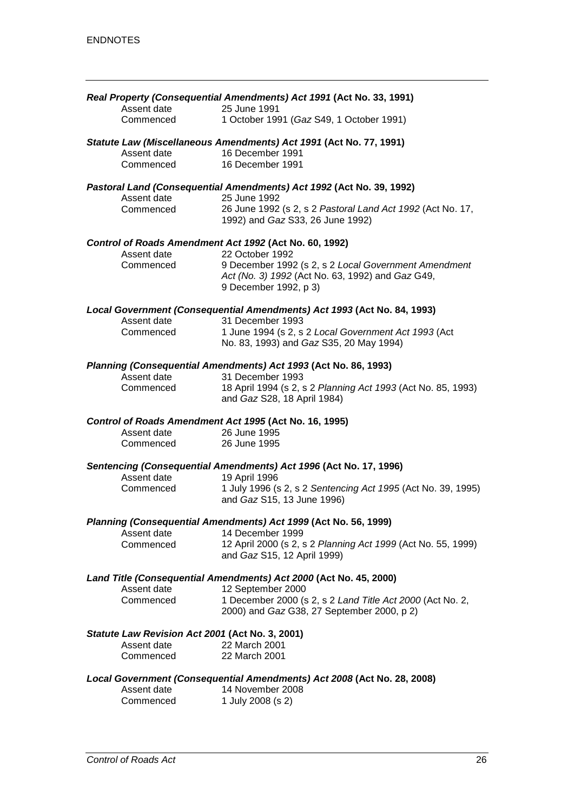|                                                 | Real Property (Consequential Amendments) Act 1991 (Act No. 33, 1991)                 |
|-------------------------------------------------|--------------------------------------------------------------------------------------|
| Assent date                                     | 25 June 1991                                                                         |
| Commenced                                       | 1 October 1991 (Gaz S49, 1 October 1991)                                             |
|                                                 | Statute Law (Miscellaneous Amendments) Act 1991 (Act No. 77, 1991)                   |
| Assent date                                     | 16 December 1991                                                                     |
| Commenced                                       | 16 December 1991                                                                     |
|                                                 |                                                                                      |
| Assent date                                     | Pastoral Land (Consequential Amendments) Act 1992 (Act No. 39, 1992)<br>25 June 1992 |
| Commenced                                       | 26 June 1992 (s 2, s 2 Pastoral Land Act 1992 (Act No. 17,                           |
|                                                 | 1992) and Gaz S33, 26 June 1992)                                                     |
|                                                 |                                                                                      |
|                                                 | Control of Roads Amendment Act 1992 (Act No. 60, 1992)                               |
| Assent date                                     | 22 October 1992                                                                      |
| Commenced                                       | 9 December 1992 (s 2, s 2 Local Government Amendment                                 |
|                                                 | Act (No. 3) 1992 (Act No. 63, 1992) and Gaz G49,                                     |
|                                                 | 9 December 1992, p 3)                                                                |
|                                                 | Local Government (Consequential Amendments) Act 1993 (Act No. 84, 1993)              |
| Assent date                                     | 31 December 1993                                                                     |
| Commenced                                       | 1 June 1994 (s 2, s 2 Local Government Act 1993 (Act                                 |
|                                                 | No. 83, 1993) and Gaz S35, 20 May 1994)                                              |
|                                                 | Planning (Consequential Amendments) Act 1993 (Act No. 86, 1993)                      |
| Assent date                                     | 31 December 1993                                                                     |
| Commenced                                       | 18 April 1994 (s 2, s 2 Planning Act 1993 (Act No. 85, 1993)                         |
|                                                 | and Gaz S28, 18 April 1984)                                                          |
|                                                 |                                                                                      |
|                                                 | Control of Roads Amendment Act 1995 (Act No. 16, 1995)                               |
| Assent date                                     | 26 June 1995                                                                         |
| Commenced                                       | 26 June 1995                                                                         |
|                                                 | Sentencing (Consequential Amendments) Act 1996 (Act No. 17, 1996)                    |
| Assent date                                     | 19 April 1996                                                                        |
| Commenced                                       | 1 July 1996 (s 2, s 2 Sentencing Act 1995 (Act No. 39, 1995)                         |
|                                                 | and Gaz S15, 13 June 1996)                                                           |
|                                                 | Planning (Consequential Amendments) Act 1999 (Act No. 56, 1999)                      |
| Assent date                                     | 14 December 1999                                                                     |
| Commenced                                       | 12 April 2000 (s 2, s 2 Planning Act 1999 (Act No. 55, 1999)                         |
|                                                 | and Gaz S15, 12 April 1999)                                                          |
|                                                 | Land Title (Consequential Amendments) Act 2000 (Act No. 45, 2000)                    |
| Assent date                                     | 12 September 2000                                                                    |
| Commenced                                       | 1 December 2000 (s 2, s 2 Land Title Act 2000 (Act No. 2,                            |
|                                                 | 2000) and Gaz G38, 27 September 2000, p 2)                                           |
| Statute Law Revision Act 2001 (Act No. 3, 2001) |                                                                                      |
| Assent date                                     | 22 March 2001                                                                        |
| Commenced                                       | 22 March 2001                                                                        |
|                                                 |                                                                                      |
|                                                 | Local Government (Consequential Amendments) Act 2008 (Act No. 28, 2008)              |
| Assent date<br>Commenced                        | 14 November 2008<br>1 July 2008 (s 2)                                                |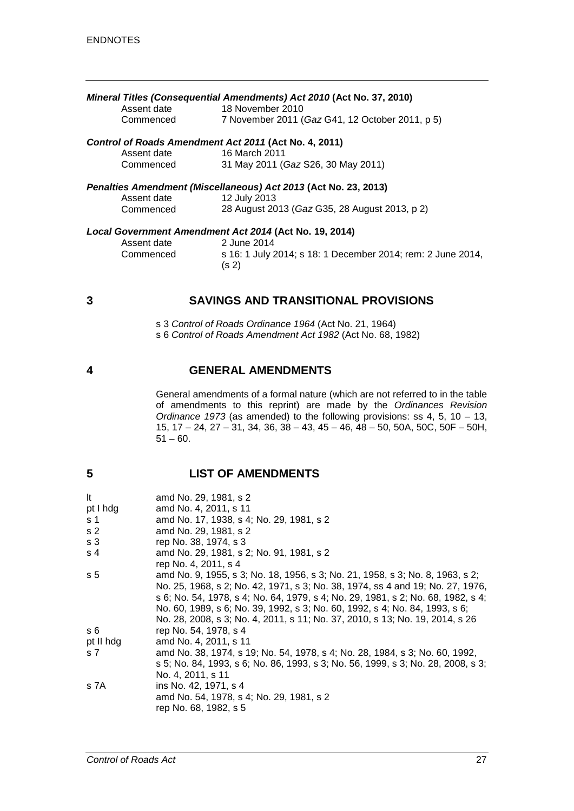| Mineral Titles (Consequential Amendments) Act 2010 (Act No. 37, 2010) |                                                 |
|-----------------------------------------------------------------------|-------------------------------------------------|
| Assent date                                                           | 18 November 2010                                |
| Commenced                                                             | 7 November 2011 (Gaz G41, 12 October 2011, p 5) |
| Control of Roads Amendment Act 2011 (Act No. 4, 2011)                 |                                                 |
| Assent date                                                           | 16 March 2011                                   |
| Commenced                                                             | 31 May 2011 (Gaz S26, 30 May 2011)              |
| Penalties Amendment (Miscellaneous) Act 2013 (Act No. 23, 2013)       |                                                 |
| Assent date                                                           | 12 July 2013                                    |
| Commenced                                                             | 28 August 2013 (Gaz G35, 28 August 2013, p 2)   |
| Local Government Amendment Act 2014 (Act No. 19, 2014)                |                                                 |
| Assent date                                                           | 2 June 2014                                     |

Commenced s 16: 1 July 2014; s 18: 1 December 2014; rem: 2 June 2014, (s 2)

#### **3 SAVINGS AND TRANSITIONAL PROVISIONS**

s 3 *Control of Roads Ordinance 1964* (Act No. 21, 1964)

s 6 *Control of Roads Amendment Act 1982* (Act No. 68, 1982)

**4 GENERAL AMENDMENTS**

General amendments of a formal nature (which are not referred to in the table of amendments to this reprint) are made by the *Ordinances Revision Ordinance 1973* (as amended) to the following provisions: ss 4, 5, 10 – 13, 15, 17 – 24, 27 – 31, 34, 36, 38 – 43, 45 – 46, 48 – 50, 50A, 50C, 50F – 50H,  $51 - 60.$ 

#### **5 LIST OF AMENDMENTS**

| amd No. 29, 1981, s 2                                                            |
|----------------------------------------------------------------------------------|
| amd No. 4, 2011, s 11                                                            |
| amd No. 17, 1938, s 4; No. 29, 1981, s 2                                         |
| amd No. 29, 1981, s 2                                                            |
| rep No. 38, 1974, s 3                                                            |
| amd No. 29, 1981, s 2; No. 91, 1981, s 2                                         |
| rep No. 4, 2011, s 4                                                             |
| amd No. 9, 1955, s 3; No. 18, 1956, s 3; No. 21, 1958, s 3; No. 8, 1963, s 2;    |
| No. 25, 1968, s 2; No. 42, 1971, s 3; No. 38, 1974, ss 4 and 19; No. 27, 1976,   |
| s 6; No. 54, 1978, s 4; No. 64, 1979, s 4; No. 29, 1981, s 2; No. 68, 1982, s 4; |
| No. 60, 1989, s 6; No. 39, 1992, s 3; No. 60, 1992, s 4; No. 84, 1993, s 6;      |
| No. 28, 2008, s 3; No. 4, 2011, s 11; No. 37, 2010, s 13; No. 19, 2014, s 26     |
| rep No. 54, 1978, s 4                                                            |
| amd No. 4, 2011, s 11                                                            |
| amd No. 38, 1974, s 19; No. 54, 1978, s 4; No. 28, 1984, s 3; No. 60, 1992,      |
| s 5; No. 84, 1993, s 6; No. 86, 1993, s 3; No. 56, 1999, s 3; No. 28, 2008, s 3; |
| No. 4, 2011, s 11                                                                |
| ins No. 42, 1971, s 4                                                            |
| amd No. 54, 1978, s 4; No. 29, 1981, s 2                                         |
| rep No. 68, 1982, s 5                                                            |
|                                                                                  |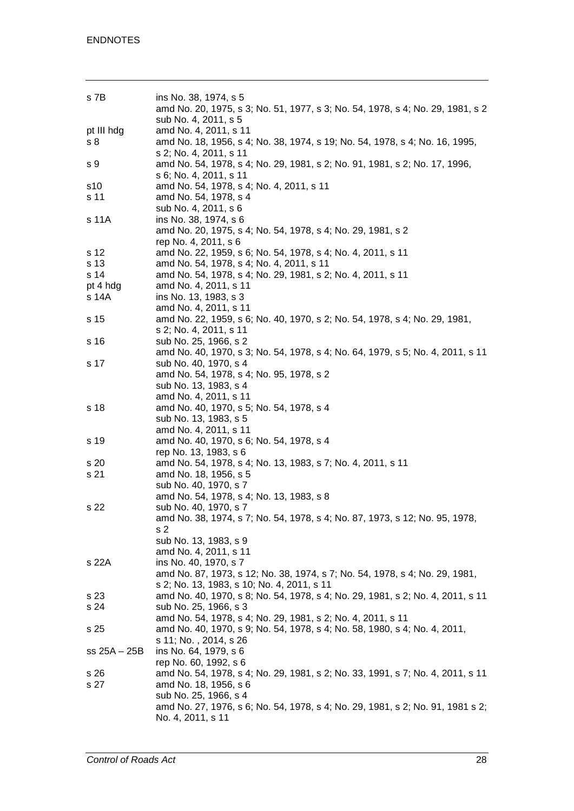| s 7B           | ins No. 38, 1974, s 5<br>amd No. 20, 1975, s 3; No. 51, 1977, s 3; No. 54, 1978, s 4; No. 29, 1981, s 2<br>sub No. 4, 2011, s 5 |
|----------------|---------------------------------------------------------------------------------------------------------------------------------|
| pt III hdg     | amd No. 4, 2011, s 11                                                                                                           |
| s <sub>8</sub> | amd No. 18, 1956, s 4; No. 38, 1974, s 19; No. 54, 1978, s 4; No. 16, 1995,<br>s 2; No. 4, 2011, s 11                           |
| s 9            | amd No. 54, 1978, s 4; No. 29, 1981, s 2; No. 91, 1981, s 2; No. 17, 1996,<br>s 6; No. 4, 2011, s 11                            |
| s10            | amd No. 54, 1978, s 4; No. 4, 2011, s 11                                                                                        |
| s 11           | amd No. 54, 1978, s 4                                                                                                           |
| s 11A          | sub No. 4, 2011, s 6<br>ins No. 38, 1974, s 6                                                                                   |
|                | amd No. 20, 1975, s 4; No. 54, 1978, s 4; No. 29, 1981, s 2                                                                     |
|                | rep No. 4, 2011, s 6                                                                                                            |
| s 12           | amd No. 22, 1959, s 6; No. 54, 1978, s 4; No. 4, 2011, s 11                                                                     |
| s 13           | amd No. 54, 1978, s 4; No. 4, 2011, s 11                                                                                        |
| s 14           | amd No. 54, 1978, s 4; No. 29, 1981, s 2; No. 4, 2011, s 11                                                                     |
| pt 4 hdg       | amd No. 4, 2011, s 11                                                                                                           |
| s 14A          | ins No. 13, 1983, s 3                                                                                                           |
|                | amd No. 4, 2011, s 11                                                                                                           |
| s 15           | amd No. 22, 1959, s 6; No. 40, 1970, s 2; No. 54, 1978, s 4; No. 29, 1981,                                                      |
|                | s 2; No. 4, 2011, s 11                                                                                                          |
| s 16           | sub No. 25, 1966, s 2                                                                                                           |
|                | amd No. 40, 1970, s 3; No. 54, 1978, s 4; No. 64, 1979, s 5; No. 4, 2011, s 11                                                  |
| s 17           | sub No. 40, 1970, s 4<br>amd No. 54, 1978, s 4; No. 95, 1978, s 2                                                               |
|                | sub No. 13, 1983, s 4                                                                                                           |
|                | amd No. 4, 2011, s 11                                                                                                           |
| s 18           | amd No. 40, 1970, s 5; No. 54, 1978, s 4                                                                                        |
|                | sub No. 13, 1983, s 5                                                                                                           |
|                | amd No. 4, 2011, s 11                                                                                                           |
| s 19           | amd No. 40, 1970, s 6; No. 54, 1978, s 4                                                                                        |
|                | rep No. 13, 1983, s 6                                                                                                           |
| s 20           | amd No. 54, 1978, s 4; No. 13, 1983, s 7; No. 4, 2011, s 11                                                                     |
| s 21           | amd No. 18, 1956, s 5                                                                                                           |
|                | sub No. 40, 1970, s 7                                                                                                           |
|                | amd No. 54, 1978, s 4; No. 13, 1983, s 8                                                                                        |
| s 22           | sub No. 40, 1970, s 7                                                                                                           |
|                | amd No. 38, 1974, s 7; No. 54, 1978, s 4; No. 87, 1973, s 12; No. 95, 1978,                                                     |
|                | s 2                                                                                                                             |
|                | sub No. 13, 1983, s 9                                                                                                           |
|                | amd No. 4, 2011, s 11                                                                                                           |
| s 22A          | ins No. 40, 1970, s 7                                                                                                           |
|                | amd No. 87, 1973, s 12; No. 38, 1974, s 7; No. 54, 1978, s 4; No. 29, 1981,                                                     |
|                | s 2; No. 13, 1983, s 10; No. 4, 2011, s 11                                                                                      |
| s 23<br>s 24   | amd No. 40, 1970, s 8; No. 54, 1978, s 4; No. 29, 1981, s 2; No. 4, 2011, s 11<br>sub No. 25, 1966, s 3                         |
|                | amd No. 54, 1978, s 4; No. 29, 1981, s 2; No. 4, 2011, s 11                                                                     |
| s 25           | amd No. 40, 1970, s 9; No. 54, 1978, s 4; No. 58, 1980, s 4; No. 4, 2011,                                                       |
|                | s 11; No., 2014, s 26                                                                                                           |
| $ss 25A - 25B$ | ins No. 64, 1979, s 6                                                                                                           |
|                | rep No. 60, 1992, s 6                                                                                                           |
| s 26           | amd No. 54, 1978, s 4; No. 29, 1981, s 2; No. 33, 1991, s 7; No. 4, 2011, s 11                                                  |
| s 27           | amd No. 18, 1956, s 6                                                                                                           |
|                | sub No. 25, 1966, s 4                                                                                                           |
|                | amd No. 27, 1976, s 6; No. 54, 1978, s 4; No. 29, 1981, s 2; No. 91, 1981 s 2;                                                  |
|                | No. 4, 2011, s 11                                                                                                               |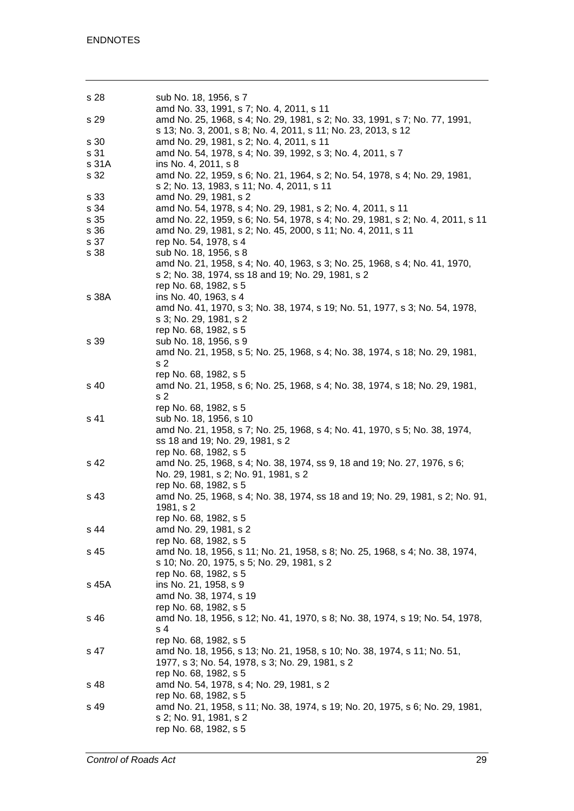| s 28  | sub No. 18, 1956, s 7<br>amd No. 33, 1991, s 7; No. 4, 2011, s 11                                                                           |
|-------|---------------------------------------------------------------------------------------------------------------------------------------------|
| s 29  | amd No. 25, 1968, s 4; No. 29, 1981, s 2; No. 33, 1991, s 7; No. 77, 1991,<br>s 13; No. 3, 2001, s 8; No. 4, 2011, s 11; No. 23, 2013, s 12 |
| s 30  | amd No. 29, 1981, s 2; No. 4, 2011, s 11                                                                                                    |
| s 31  | amd No. 54, 1978, s 4; No. 39, 1992, s 3; No. 4, 2011, s 7                                                                                  |
| s 31A | ins No. 4, 2011, s 8                                                                                                                        |
|       |                                                                                                                                             |
| s 32  | amd No. 22, 1959, s 6; No. 21, 1964, s 2; No. 54, 1978, s 4; No. 29, 1981,<br>s 2; No. 13, 1983, s 11; No. 4, 2011, s 11                    |
| s 33  | amd No. 29, 1981, s 2                                                                                                                       |
| s 34  | amd No. 54, 1978, s 4; No. 29, 1981, s 2; No. 4, 2011, s 11                                                                                 |
| s 35  | amd No. 22, 1959, s 6; No. 54, 1978, s 4; No. 29, 1981, s 2; No. 4, 2011, s 11                                                              |
| s 36  | amd No. 29, 1981, s 2; No. 45, 2000, s 11; No. 4, 2011, s 11                                                                                |
| s 37  | rep No. 54, 1978, s 4                                                                                                                       |
| s 38  | sub No. 18, 1956, s 8                                                                                                                       |
|       | amd No. 21, 1958, s 4; No. 40, 1963, s 3; No. 25, 1968, s 4; No. 41, 1970,                                                                  |
|       | s 2; No. 38, 1974, ss 18 and 19; No. 29, 1981, s 2                                                                                          |
|       |                                                                                                                                             |
|       | rep No. 68, 1982, s 5                                                                                                                       |
| s 38A | ins No. 40, 1963, s 4                                                                                                                       |
|       | amd No. 41, 1970, s 3; No. 38, 1974, s 19; No. 51, 1977, s 3; No. 54, 1978,                                                                 |
|       | s 3; No. 29, 1981, s 2                                                                                                                      |
|       | rep No. 68, 1982, s 5                                                                                                                       |
| s 39  | sub No. 18, 1956, s 9                                                                                                                       |
|       | amd No. 21, 1958, s 5; No. 25, 1968, s 4; No. 38, 1974, s 18; No. 29, 1981,                                                                 |
|       | s <sub>2</sub>                                                                                                                              |
|       | rep No. 68, 1982, s 5                                                                                                                       |
|       |                                                                                                                                             |
| s 40  | amd No. 21, 1958, s 6; No. 25, 1968, s 4; No. 38, 1974, s 18; No. 29, 1981,                                                                 |
|       | s <sub>2</sub>                                                                                                                              |
|       | rep No. 68, 1982, s 5                                                                                                                       |
| s 41  | sub No. 18, 1956, s 10                                                                                                                      |
|       | amd No. 21, 1958, s 7; No. 25, 1968, s 4; No. 41, 1970, s 5; No. 38, 1974,                                                                  |
|       | ss 18 and 19; No. 29, 1981, s 2                                                                                                             |
|       | rep No. 68, 1982, s 5                                                                                                                       |
| s 42  | amd No. 25, 1968, s 4; No. 38, 1974, ss 9, 18 and 19; No. 27, 1976, s 6;                                                                    |
|       | No. 29, 1981, s 2; No. 91, 1981, s 2                                                                                                        |
|       | rep No. 68, 1982, s 5                                                                                                                       |
| s 43  | amd No. 25, 1968, s 4; No. 38, 1974, ss 18 and 19; No. 29, 1981, s 2; No. 91,                                                               |
|       |                                                                                                                                             |
|       | 1981, s 2                                                                                                                                   |
|       | rep No. 68, 1982, s 5                                                                                                                       |
| s 44  | amd No. 29, 1981, s 2                                                                                                                       |
|       | rep No. 68, 1982, s 5                                                                                                                       |
| s 45  | amd No. 18, 1956, s 11; No. 21, 1958, s 8; No. 25, 1968, s 4; No. 38, 1974,                                                                 |
|       | s 10; No. 20, 1975, s 5; No. 29, 1981, s 2                                                                                                  |
|       | rep No. 68, 1982, s 5                                                                                                                       |
| s 45A | ins No. 21, 1958, s 9                                                                                                                       |
|       | amd No. 38, 1974, s 19                                                                                                                      |
|       | rep No. 68, 1982, s 5                                                                                                                       |
| s 46  |                                                                                                                                             |
|       | amd No. 18, 1956, s 12; No. 41, 1970, s 8; No. 38, 1974, s 19; No. 54, 1978,                                                                |
|       | s 4                                                                                                                                         |
|       | rep No. 68, 1982, s 5                                                                                                                       |
| s 47  | amd No. 18, 1956, s 13; No. 21, 1958, s 10; No. 38, 1974, s 11; No. 51,                                                                     |
|       | 1977, s 3; No. 54, 1978, s 3; No. 29, 1981, s 2                                                                                             |
|       | rep No. 68, 1982, s 5                                                                                                                       |
| s 48  | amd No. 54, 1978, s 4; No. 29, 1981, s 2                                                                                                    |
|       | rep No. 68, 1982, s 5                                                                                                                       |
| s 49  | amd No. 21, 1958, s 11; No. 38, 1974, s 19; No. 20, 1975, s 6; No. 29, 1981,                                                                |
|       | s 2; No. 91, 1981, s 2                                                                                                                      |
|       | rep No. 68, 1982, s 5                                                                                                                       |
|       |                                                                                                                                             |